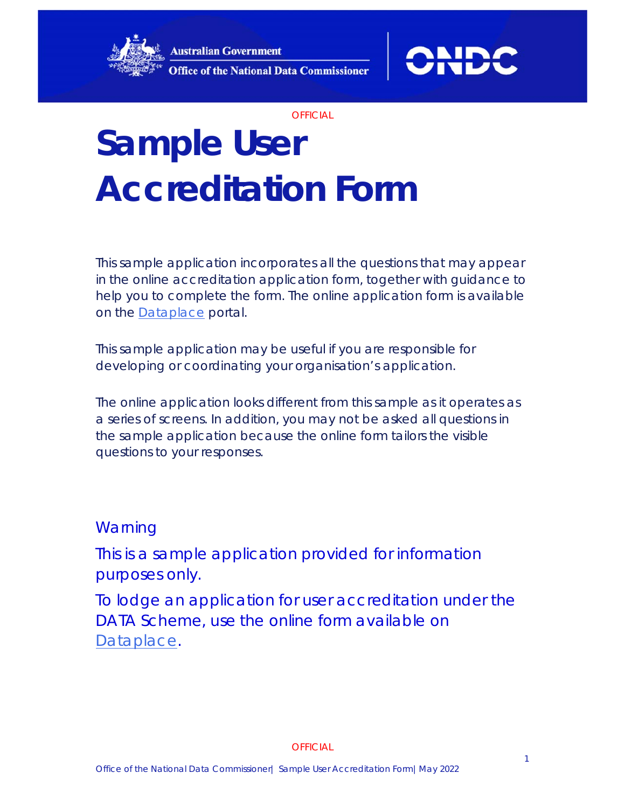



# **Sample User Accreditation Form**

This sample application incorporates all the questions that may appear in the online accreditation application form, together with guidance to help you to complete the form. The online application form is available on the **Dataplace** portal.

This sample application may be useful if you are responsible for developing or coordinating your organisation's application.

The online application looks different from this sample as it operates as a series of screens. In addition, you may not be asked all questions in the sample application because the online form tailors the visible questions to your responses.

#### **Warning**

This is a sample application provided for information purposes only.

To lodge an application for user accreditation under the DATA Scheme, use the online form available on Dataplace.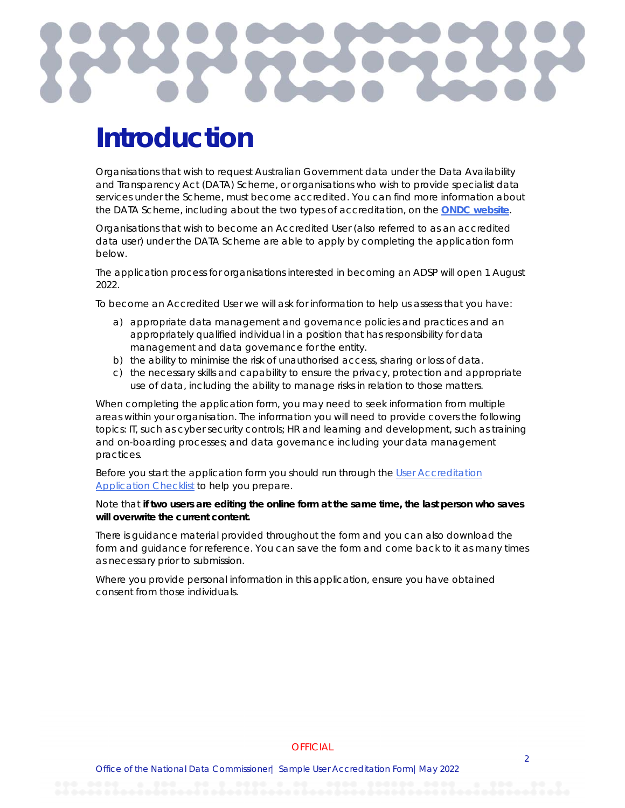

## **Introduction**

Organisations that wish to request Australian Government data under the Data Availability and Transparency Act (DATA) Scheme, or organisations who wish to provide specialist data services under the Scheme, must become accredited. You can find more information about the DATA Scheme, including about the two types of accreditation, on the **ONDC website**.

Organisations that wish to become an Accredited User (also referred to as an accredited data user) under the DATA Scheme are able to apply by completing the application form below.

The application process for organisations interested in becoming an ADSP will open 1 August 2022.

To become an Accredited User we will ask for information to help us assess that you have:

- a) appropriate data management and governance policies and practices and an appropriately qualified individual in a position that has responsibility for data management and data governance for the entity.
- b) the ability to minimise the risk of unauthorised access, sharing or loss of data.
- c) the necessary skills and capability to ensure the privacy, protection and appropriate use of data, including the ability to manage risks in relation to those matters.

When completing the application form, you may need to seek information from multiple areas within your organisation. The information you will need to provide covers the following topics: IT, such as cyber security controls; HR and learning and development, such as training and on-boarding processes; and data governance including your data management practices.

Before you start the application form you should run through the User Accreditation **Application Checklist to help you prepare.** 

#### Note that **if two users are editing the online form at the same time, the last person who saves will overwrite the current content.**

There is guidance material provided throughout the form and you can also download the form and guidance for reference. You can save the form and come back to it as many times as necessary prior to submission.

Where you provide personal information in this application, ensure you have obtained consent from those individuals.

#### **OFFICIAL**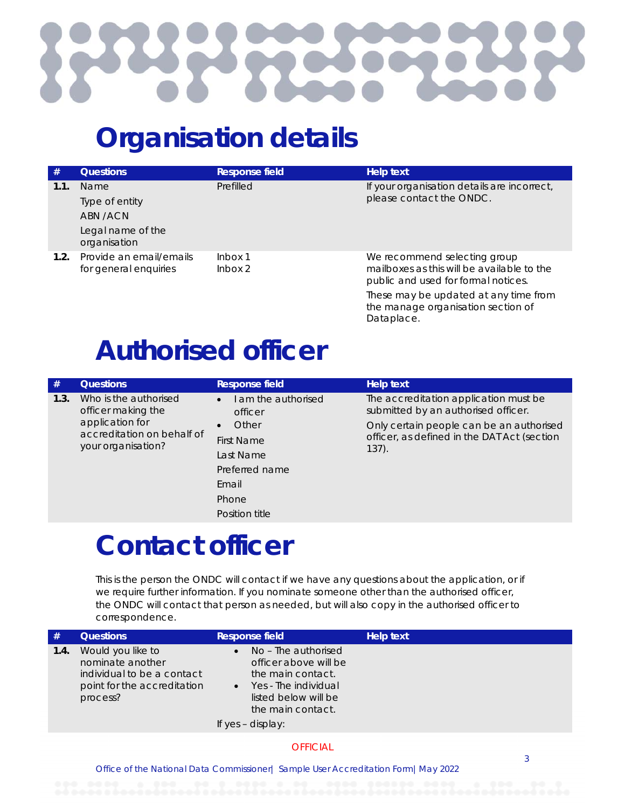

## **Organisation details**

| #    | <b>Questions</b>                                                        | Response field     | Help text                                                                                                                                                                                        |
|------|-------------------------------------------------------------------------|--------------------|--------------------------------------------------------------------------------------------------------------------------------------------------------------------------------------------------|
| 1.1. | Name<br>Type of entity<br>ABN /ACN<br>Legal name of the<br>organisation | Prefilled          | If your organisation details are incorrect,<br>please contact the ONDC.                                                                                                                          |
| 1.2. | Provide an email/emails<br>for general enquiries                        | lnbox 1<br>lnbox 2 | We recommend selecting group<br>mailboxes as this will be available to the<br>public and used for formal notices.<br>These may be updated at any time from<br>the manage organisation section of |

Dataplace.

# **Authorised officer**

| #    | <b>Questions</b>                                                                                                   | Response field                                                                                    | Help text                                                                                                                                                                           |
|------|--------------------------------------------------------------------------------------------------------------------|---------------------------------------------------------------------------------------------------|-------------------------------------------------------------------------------------------------------------------------------------------------------------------------------------|
| 1.3. | Who is the authorised<br>officer making the<br>application for<br>accreditation on behalf of<br>your organisation? | I am the authorised<br>$\bullet$<br>officer<br>Other<br>First Name<br>Last Name<br>Preferred name | The accreditation application must be<br>submitted by an authorised officer.<br>Only certain people can be an authorised<br>officer, as defined in the DAT Act (section<br>$137)$ . |
|      |                                                                                                                    | Email                                                                                             |                                                                                                                                                                                     |
|      |                                                                                                                    | Phone                                                                                             |                                                                                                                                                                                     |
|      |                                                                                                                    | Position title                                                                                    |                                                                                                                                                                                     |

## **Contact officer**

This is the person the ONDC will contact if we have any questions about the application, or if we require further information. If you nominate someone other than the authorised officer, the ONDC will contact that person as needed, but will also copy in the authorised officer to correspondence.

| #    | <b>Questions</b>                                                                                               | Response field                                                                                                                                              | <b>Help text</b> |
|------|----------------------------------------------------------------------------------------------------------------|-------------------------------------------------------------------------------------------------------------------------------------------------------------|------------------|
| 1.4. | Would you like to<br>nominate another<br>individual to be a contact<br>point for the accreditation<br>process? | No - The authorised<br>officer above will be<br>the main contact.<br>Yes - The individual<br>listed below will be<br>the main contact.<br>If yes - display: |                  |
|      |                                                                                                                | <b>OFFICIAL</b>                                                                                                                                             |                  |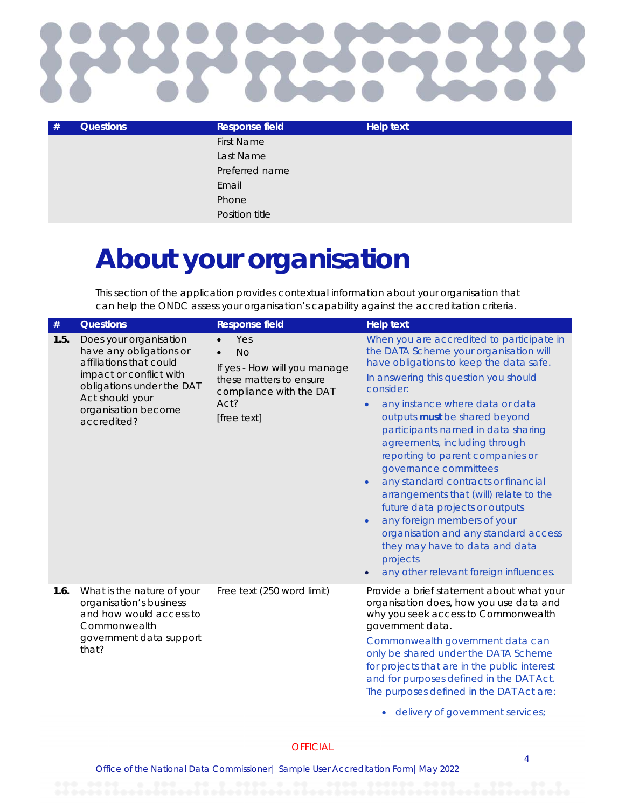

| # | <b>Questions</b> | Response field    | <b>Help text</b> |
|---|------------------|-------------------|------------------|
|   |                  | <b>First Name</b> |                  |
|   |                  | Last Name         |                  |
|   |                  | Preferred name    |                  |
|   |                  | Email             |                  |
|   |                  | Phone             |                  |
|   |                  | Position title    |                  |

## **About your organisation**

This section of the application provides contextual information about your organisation that can help the ONDC assess your organisation's capability against the accreditation criteria.

| $\#$ | <b>Questions</b>                                                                                                                                                                              | <b>Response field</b>                                                                                                         | <b>Help text</b>                                                                                                                                                                                                                                                                                                                                                                                                                                                                                                                                                                                                                                                                                                                    |
|------|-----------------------------------------------------------------------------------------------------------------------------------------------------------------------------------------------|-------------------------------------------------------------------------------------------------------------------------------|-------------------------------------------------------------------------------------------------------------------------------------------------------------------------------------------------------------------------------------------------------------------------------------------------------------------------------------------------------------------------------------------------------------------------------------------------------------------------------------------------------------------------------------------------------------------------------------------------------------------------------------------------------------------------------------------------------------------------------------|
| 1.5. | Does your organisation<br>have any obligations or<br>affiliations that could<br>impact or conflict with<br>obligations under the DAT<br>Act should your<br>organisation become<br>accredited? | Yes<br><b>No</b><br>If yes - How will you manage<br>these matters to ensure<br>compliance with the DAT<br>Act?<br>[free text] | When you are accredited to participate in<br>the DATA Scheme your organisation will<br>have obligations to keep the data safe.<br>In answering this question you should<br>consider:<br>any instance where data or data<br>$\bullet$<br>outputs must be shared beyond<br>participants named in data sharing<br>agreements, including through<br>reporting to parent companies or<br>governance committees<br>any standard contracts or financial<br>$\bullet$<br>arrangements that (will) relate to the<br>future data projects or outputs<br>any foreign members of your<br>$\bullet$<br>organisation and any standard access<br>they may have to data and data<br>projects<br>any other relevant foreign influences.<br>$\bullet$ |
| 1.6. | What is the nature of your<br>organisation's business<br>and how would access to<br>Commonwealth<br>government data support<br>that?                                                          | Free text (250 word limit)                                                                                                    | Provide a brief statement about what your<br>organisation does, how you use data and<br>why you seek access to Commonwealth<br>government data.<br>Commonwealth government data can<br>only be shared under the DATA Scheme<br>for projects that are in the public interest<br>and for purposes defined in the DAT Act.<br>The purposes defined in the DAT Act are:<br>delivery of government services;                                                                                                                                                                                                                                                                                                                             |
|      |                                                                                                                                                                                               |                                                                                                                               |                                                                                                                                                                                                                                                                                                                                                                                                                                                                                                                                                                                                                                                                                                                                     |

#### **OFFICIAL**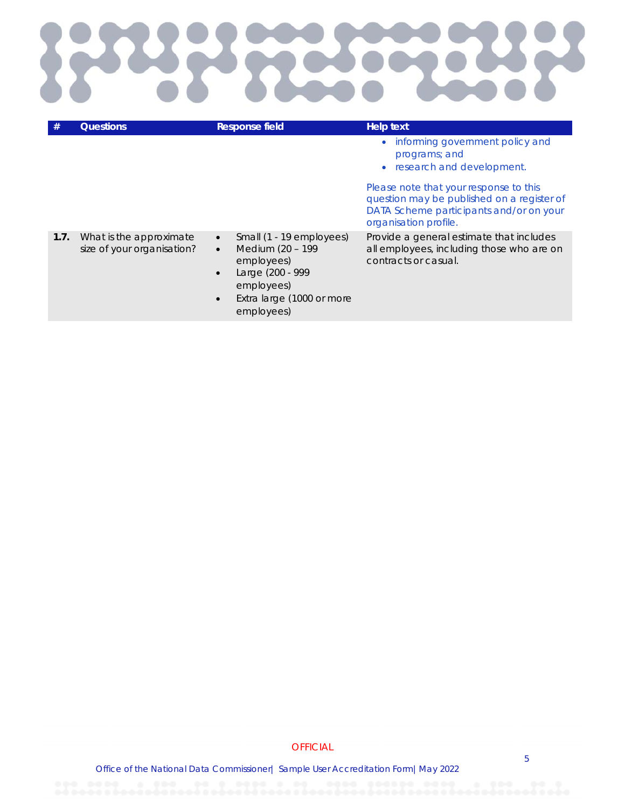

|      | <b>Questions</b>                                      | <b>Response field</b>                                                                                                                                                                       | <b>Help text</b>                                                                                                                                         |
|------|-------------------------------------------------------|---------------------------------------------------------------------------------------------------------------------------------------------------------------------------------------------|----------------------------------------------------------------------------------------------------------------------------------------------------------|
|      |                                                       |                                                                                                                                                                                             | • informing government policy and<br>programs; and<br>research and development.                                                                          |
|      |                                                       |                                                                                                                                                                                             | Please note that your response to this<br>question may be published on a register of<br>DATA Scheme participants and/or on your<br>organisation profile. |
| 1.7. | What is the approximate<br>size of your organisation? | Small (1 - 19 employees)<br>$\bullet$<br>Medium (20 - 199<br>$\bullet$<br>employees)<br>Large (200 - 999<br>$\bullet$<br>employees)<br>Extra large (1000 or more<br>$\bullet$<br>employees) | Provide a general estimate that includes<br>all employees, including those who are on<br>contracts or casual.                                            |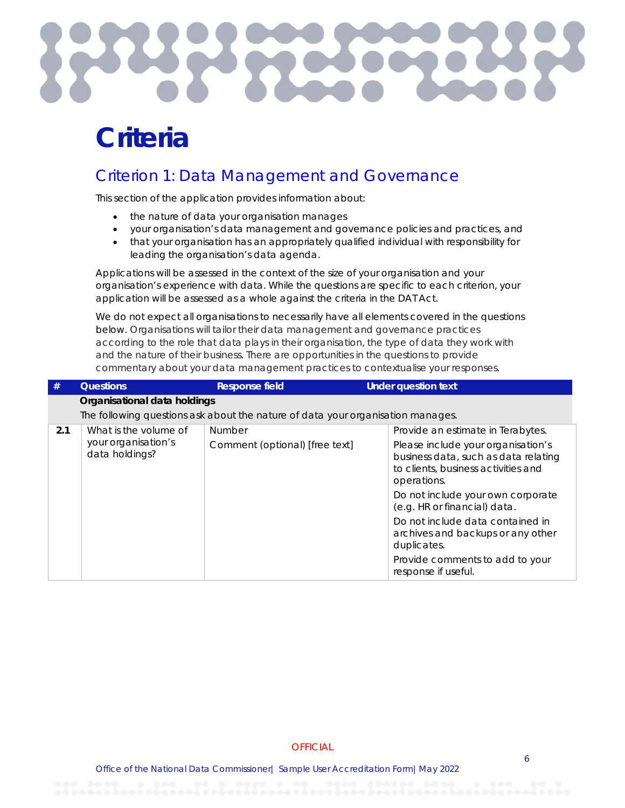

## **Criteria**

#### Criterion 1: Data Management and Governance

This section of the application provides information about:

- the nature of data your organisation manages
- your organisation's data management and governance policies and practices, and
- that your organisation has an appropriately qualified individual with responsibility for leading the organisation's data agenda.

Applications will be assessed in the context of the size of your organisation and your organisation's experience with data. While the questions are specific to each criterion, your application will be assessed as a whole against the criteria in the DAT Act.

We do not expect all organisations to necessarily have all elements covered in the questions below. Organisations will tailor their data management and governance practices according to the role that data plays in their organisation, the type of data they work with and the nature of their business. There are opportunities in the questions to provide commentary about your data management practices to contextualise your responses.

| #   | <b>Questions</b>                             | <b>Response field</b>                                                           | <b>Under question text</b>                                                                                                       |  |
|-----|----------------------------------------------|---------------------------------------------------------------------------------|----------------------------------------------------------------------------------------------------------------------------------|--|
|     | Organisational data holdings                 |                                                                                 |                                                                                                                                  |  |
|     |                                              | The following questions ask about the nature of data your organisation manages. |                                                                                                                                  |  |
| 2.1 | What is the volume of<br>your organisation's | <b>Number</b>                                                                   | Provide an estimate in Terabytes.                                                                                                |  |
|     | data holdings?                               | Comment (optional) [free text]                                                  | Please include your organisation's<br>business data, such as data relating<br>to clients, business activities and<br>operations. |  |
|     |                                              |                                                                                 | Do not include your own corporate<br>(e.g. HR or financial) data.                                                                |  |
|     |                                              |                                                                                 | Do not include data contained in<br>archives and backups or any other<br>duplicates.                                             |  |
|     |                                              |                                                                                 | Provide comments to add to your<br>response if useful.                                                                           |  |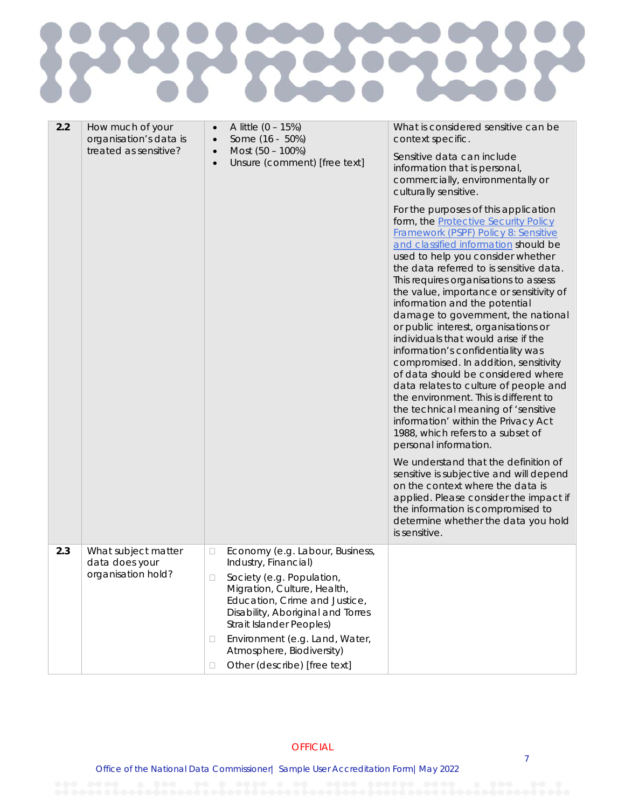#### **RAN PS** Š TC.

| 2.2 | How much of your<br>organisation's data is<br>treated as sensitive? | A little $(0 - 15%)$<br>Some (16 - 50%)<br>$\bullet$<br>Most (50 - 100%)<br>$\bullet$<br>Unsure (comment) [free text]<br>$\bullet$                                                                                                                                                                                                  | What is considered sensitive can be<br>context specific.<br>Sensitive data can include<br>information that is personal,<br>commercially, environmentally or<br>culturally sensitive.<br>For the purposes of this application<br>form, the <b>Protective Security Policy</b><br>Framework (PSPF) Policy 8: Sensitive<br>and classified information should be<br>used to help you consider whether<br>the data referred to is sensitive data.<br>This requires organisations to assess<br>the value, importance or sensitivity of<br>information and the potential<br>damage to government, the national<br>or public interest, organisations or<br>individuals that would arise if the<br>information's confidentiality was<br>compromised. In addition, sensitivity<br>of data should be considered where<br>data relates to culture of people and<br>the environment. This is different to<br>the technical meaning of 'sensitive<br>information' within the Privacy Act<br>1988, which refers to a subset of<br>personal information.<br>We understand that the definition of<br>sensitive is subjective and will depend<br>on the context where the data is<br>applied. Please consider the impact if<br>the information is compromised to<br>determine whether the data you hold<br>is sensitive. |
|-----|---------------------------------------------------------------------|-------------------------------------------------------------------------------------------------------------------------------------------------------------------------------------------------------------------------------------------------------------------------------------------------------------------------------------|-------------------------------------------------------------------------------------------------------------------------------------------------------------------------------------------------------------------------------------------------------------------------------------------------------------------------------------------------------------------------------------------------------------------------------------------------------------------------------------------------------------------------------------------------------------------------------------------------------------------------------------------------------------------------------------------------------------------------------------------------------------------------------------------------------------------------------------------------------------------------------------------------------------------------------------------------------------------------------------------------------------------------------------------------------------------------------------------------------------------------------------------------------------------------------------------------------------------------------------------------------------------------------------------------------|
| 2.3 | What subject matter<br>data does your<br>organisation hold?         | Economy (e.g. Labour, Business,<br>□<br>Industry, Financial)<br>Society (e.g. Population,<br>Migration, Culture, Health,<br>Education, Crime and Justice,<br>Disability, Aboriginal and Torres<br>Strait Islander Peoples)<br>Environment (e.g. Land, Water,<br>□<br>Atmosphere, Biodiversity)<br>Other (describe) [free text]<br>□ |                                                                                                                                                                                                                                                                                                                                                                                                                                                                                                                                                                                                                                                                                                                                                                                                                                                                                                                                                                                                                                                                                                                                                                                                                                                                                                       |

#### **OFFICIAL**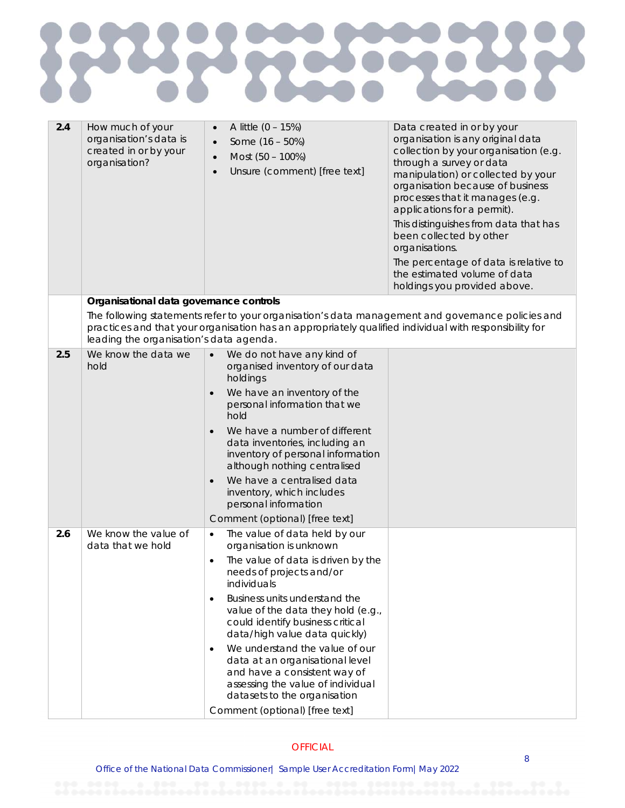

| 2.4 | How much of your<br>organisation's data is<br>created in or by your<br>organisation? | A little $(0 - 15%)$<br>$\bullet$<br>Some $(16 - 50%)$<br>$\bullet$<br>Most (50 - 100%)<br>Unsure (comment) [free text]                                                                                     | Data created in or by your<br>organisation is any original data<br>collection by your organisation (e.g.<br>through a survey or data<br>manipulation) or collected by your<br>organisation because of business<br>processes that it manages (e.g.<br>applications for a permit).<br>This distinguishes from data that has<br>been collected by other<br>organisations.<br>The percentage of data is relative to<br>the estimated volume of data<br>holdings you provided above. |
|-----|--------------------------------------------------------------------------------------|-------------------------------------------------------------------------------------------------------------------------------------------------------------------------------------------------------------|---------------------------------------------------------------------------------------------------------------------------------------------------------------------------------------------------------------------------------------------------------------------------------------------------------------------------------------------------------------------------------------------------------------------------------------------------------------------------------|
|     | Organisational data governance controls                                              |                                                                                                                                                                                                             |                                                                                                                                                                                                                                                                                                                                                                                                                                                                                 |
|     | leading the organisation's data agenda.                                              | The following statements refer to your organisation's data management and governance policies and<br>practices and that your organisation has an appropriately qualified individual with responsibility for |                                                                                                                                                                                                                                                                                                                                                                                                                                                                                 |
| 2.5 | We know the data we                                                                  | We do not have any kind of                                                                                                                                                                                  |                                                                                                                                                                                                                                                                                                                                                                                                                                                                                 |
|     | hold                                                                                 | organised inventory of our data<br>holdings                                                                                                                                                                 |                                                                                                                                                                                                                                                                                                                                                                                                                                                                                 |
|     |                                                                                      | We have an inventory of the<br>$\bullet$                                                                                                                                                                    |                                                                                                                                                                                                                                                                                                                                                                                                                                                                                 |
|     |                                                                                      | personal information that we<br>hold                                                                                                                                                                        |                                                                                                                                                                                                                                                                                                                                                                                                                                                                                 |
|     |                                                                                      | We have a number of different<br>$\bullet$                                                                                                                                                                  |                                                                                                                                                                                                                                                                                                                                                                                                                                                                                 |
|     |                                                                                      | data inventories, including an<br>inventory of personal information                                                                                                                                         |                                                                                                                                                                                                                                                                                                                                                                                                                                                                                 |
|     |                                                                                      | although nothing centralised                                                                                                                                                                                |                                                                                                                                                                                                                                                                                                                                                                                                                                                                                 |
|     |                                                                                      | We have a centralised data<br>$\bullet$<br>inventory, which includes<br>personal information                                                                                                                |                                                                                                                                                                                                                                                                                                                                                                                                                                                                                 |
|     |                                                                                      | Comment (optional) [free text]                                                                                                                                                                              |                                                                                                                                                                                                                                                                                                                                                                                                                                                                                 |
| 2.6 | We know the value of<br>data that we hold                                            | The value of data held by our<br>$\bullet$<br>organisation is unknown                                                                                                                                       |                                                                                                                                                                                                                                                                                                                                                                                                                                                                                 |
|     |                                                                                      | The value of data is driven by the<br>needs of projects and/or<br>individuals                                                                                                                               |                                                                                                                                                                                                                                                                                                                                                                                                                                                                                 |
|     |                                                                                      | Business units understand the<br>$\bullet$<br>value of the data they hold (e.g.,<br>could identify business critical<br>data/high value data quickly)                                                       |                                                                                                                                                                                                                                                                                                                                                                                                                                                                                 |
|     |                                                                                      | We understand the value of our<br>data at an organisational level<br>and have a consistent way of<br>assessing the value of individual<br>datasets to the organisation                                      |                                                                                                                                                                                                                                                                                                                                                                                                                                                                                 |
|     |                                                                                      | Comment (optional) [free text]                                                                                                                                                                              |                                                                                                                                                                                                                                                                                                                                                                                                                                                                                 |
|     |                                                                                      |                                                                                                                                                                                                             |                                                                                                                                                                                                                                                                                                                                                                                                                                                                                 |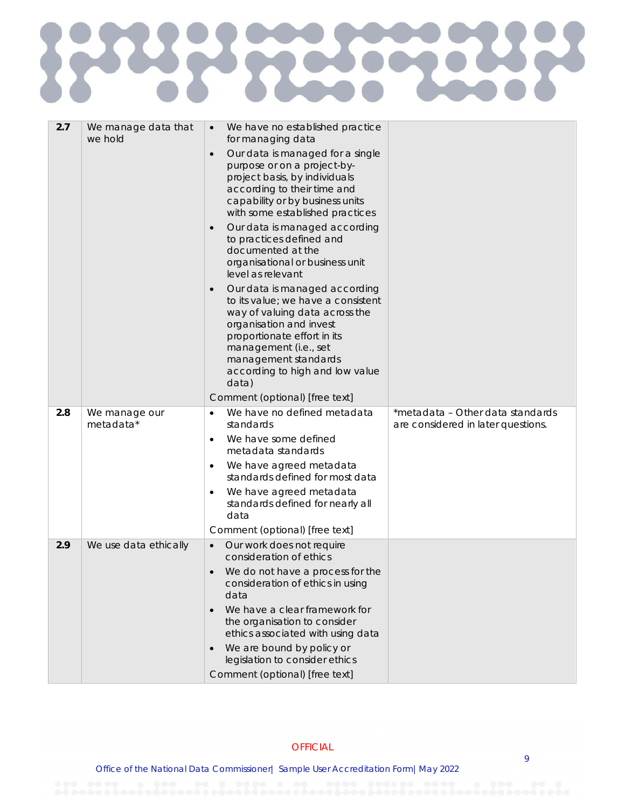## 2223 R 25

| 2.7 | We manage data that<br>we hold | We have no established practice<br>$\bullet$<br>for managing data                                                                                                                                                                                                         |                                                                        |
|-----|--------------------------------|---------------------------------------------------------------------------------------------------------------------------------------------------------------------------------------------------------------------------------------------------------------------------|------------------------------------------------------------------------|
|     |                                | Our data is managed for a single<br>$\bullet$<br>purpose or on a project-by-<br>project basis, by individuals<br>according to their time and<br>capability or by business units<br>with some established practices<br>Our data is managed according                       |                                                                        |
|     |                                | to practices defined and<br>documented at the<br>organisational or business unit<br>level as relevant                                                                                                                                                                     |                                                                        |
|     |                                | Our data is managed according<br>$\bullet$<br>to its value; we have a consistent<br>way of valuing data across the<br>organisation and invest<br>proportionate effort in its<br>management (i.e., set<br>management standards<br>according to high and low value<br>data) |                                                                        |
|     |                                | Comment (optional) [free text]                                                                                                                                                                                                                                            |                                                                        |
| 2.8 | We manage our<br>metadata*     | We have no defined metadata<br>$\bullet$<br>standards                                                                                                                                                                                                                     | *metadata - Other data standards<br>are considered in later questions. |
|     |                                | We have some defined<br>metadata standards                                                                                                                                                                                                                                |                                                                        |
|     |                                | We have agreed metadata<br>٠<br>standards defined for most data                                                                                                                                                                                                           |                                                                        |
|     |                                | We have agreed metadata<br>$\bullet$<br>standards defined for nearly all<br>data                                                                                                                                                                                          |                                                                        |
|     |                                | Comment (optional) [free text]                                                                                                                                                                                                                                            |                                                                        |
| 2.9 | We use data ethically          | Our work does not require<br>$\bullet$<br>consideration of ethics                                                                                                                                                                                                         |                                                                        |
|     |                                | We do not have a process for the<br>$\bullet$<br>consideration of ethics in using<br>data                                                                                                                                                                                 |                                                                        |
|     |                                | We have a clear framework for<br>the organisation to consider<br>ethics associated with using data                                                                                                                                                                        |                                                                        |
|     |                                | We are bound by policy or<br>legislation to consider ethics                                                                                                                                                                                                               |                                                                        |
|     |                                |                                                                                                                                                                                                                                                                           |                                                                        |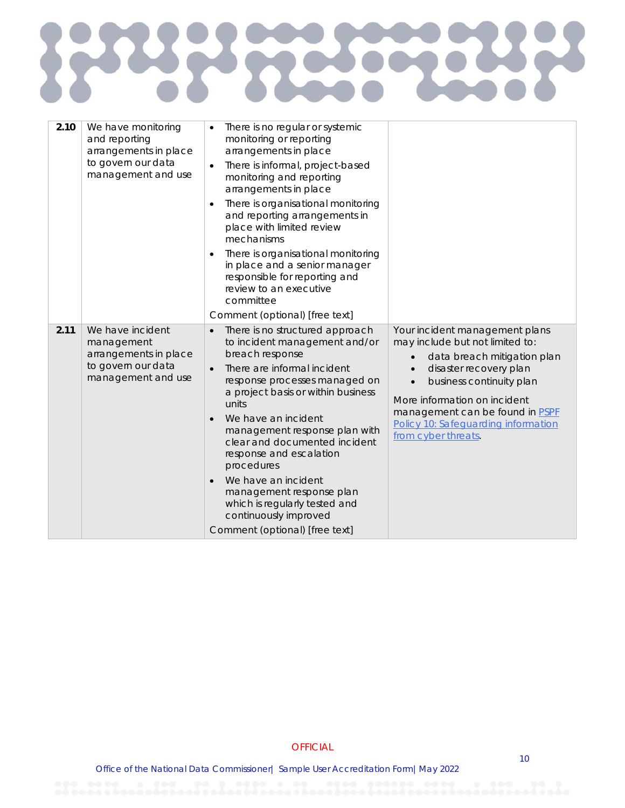## **RANCE** R  $\zeta$

| 2.10 | We have monitoring<br>and reporting<br>arrangements in place<br>to govern our data<br>management and use | There is no regular or systemic<br>monitoring or reporting<br>arrangements in place<br>There is informal, project-based<br>monitoring and reporting<br>arrangements in place<br>There is organisational monitoring<br>and reporting arrangements in<br>place with limited review<br>mechanisms<br>There is organisational monitoring<br>in place and a senior manager<br>responsible for reporting and<br>review to an executive<br>committee<br>Comment (optional) [free text]                                            |                                                                                                                                                                                                                                                                                         |
|------|----------------------------------------------------------------------------------------------------------|----------------------------------------------------------------------------------------------------------------------------------------------------------------------------------------------------------------------------------------------------------------------------------------------------------------------------------------------------------------------------------------------------------------------------------------------------------------------------------------------------------------------------|-----------------------------------------------------------------------------------------------------------------------------------------------------------------------------------------------------------------------------------------------------------------------------------------|
| 2.11 | We have incident<br>management<br>arrangements in place<br>to govern our data<br>management and use      | There is no structured approach<br>$\bullet$<br>to incident management and/or<br>breach response<br>There are informal incident<br>$\bullet$<br>response processes managed on<br>a project basis or within business<br>units<br>We have an incident<br>management response plan with<br>clear and documented incident<br>response and escalation<br>procedures<br>We have an incident<br>$\bullet$<br>management response plan<br>which is regularly tested and<br>continuously improved<br>Comment (optional) [free text] | Your incident management plans<br>may include but not limited to:<br>data breach mitigation plan<br>disaster recovery plan<br>business continuity plan<br>More information on incident<br>management can be found in PSPF<br>Policy 10: Safeguarding information<br>from cyber threats. |

**OFFICIAL**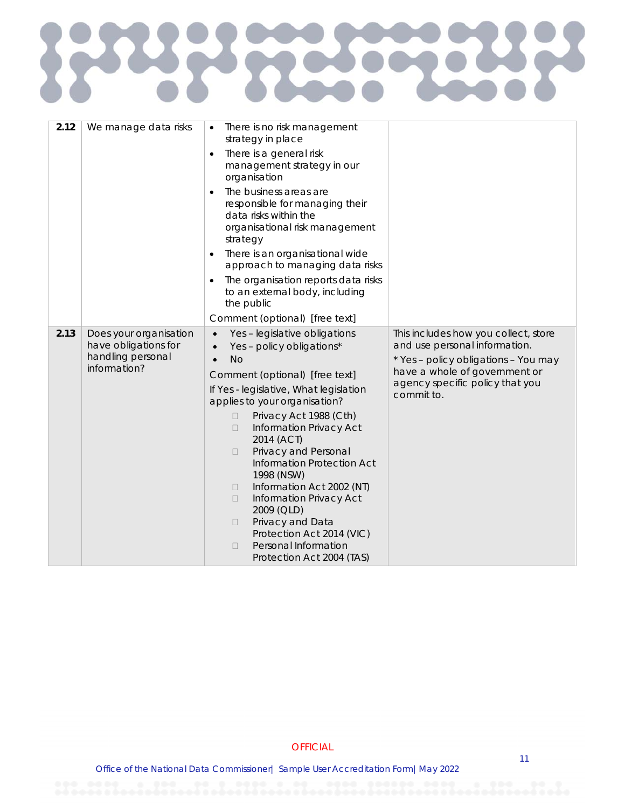# E  $\boldsymbol{\Sigma}$ 250

| 2.12 | We manage data risks                                                                | There is no risk management<br>$\bullet$<br>strategy in place                                                                                                                                                                                                                                                                                                                                                                                                                                                                                                                                  |                                                                                                                                                                                                 |
|------|-------------------------------------------------------------------------------------|------------------------------------------------------------------------------------------------------------------------------------------------------------------------------------------------------------------------------------------------------------------------------------------------------------------------------------------------------------------------------------------------------------------------------------------------------------------------------------------------------------------------------------------------------------------------------------------------|-------------------------------------------------------------------------------------------------------------------------------------------------------------------------------------------------|
|      |                                                                                     | There is a general risk<br>management strategy in our<br>organisation                                                                                                                                                                                                                                                                                                                                                                                                                                                                                                                          |                                                                                                                                                                                                 |
|      |                                                                                     | The business areas are<br>responsible for managing their<br>data risks within the<br>organisational risk management<br>strategy                                                                                                                                                                                                                                                                                                                                                                                                                                                                |                                                                                                                                                                                                 |
|      |                                                                                     | There is an organisational wide<br>$\bullet$<br>approach to managing data risks                                                                                                                                                                                                                                                                                                                                                                                                                                                                                                                |                                                                                                                                                                                                 |
|      |                                                                                     | The organisation reports data risks<br>to an external body, including<br>the public                                                                                                                                                                                                                                                                                                                                                                                                                                                                                                            |                                                                                                                                                                                                 |
|      |                                                                                     | Comment (optional) [free text]                                                                                                                                                                                                                                                                                                                                                                                                                                                                                                                                                                 |                                                                                                                                                                                                 |
| 2.13 | Does your organisation<br>have obligations for<br>handling personal<br>information? | Yes - legislative obligations<br>$\bullet$<br>Yes - policy obligations*<br><b>No</b><br>Comment (optional) [free text]<br>If Yes - legislative, What legislation<br>applies to your organisation?<br>Privacy Act 1988 (Cth)<br>$\Box$<br><b>Information Privacy Act</b><br>$\Box$<br>2014 (ACT)<br>Privacy and Personal<br>$\Box$<br>Information Protection Act<br>1998 (NSW)<br>Information Act 2002 (NT)<br>0<br><b>Information Privacy Act</b><br>$\Box$<br>2009 (QLD)<br>Privacy and Data<br>0<br>Protection Act 2014 (VIC)<br>Personal Information<br>$\Box$<br>Protection Act 2004 (TAS) | This includes how you collect, store<br>and use personal information.<br>* Yes - policy obligations - You may<br>have a whole of government or<br>agency specific policy that you<br>commit to. |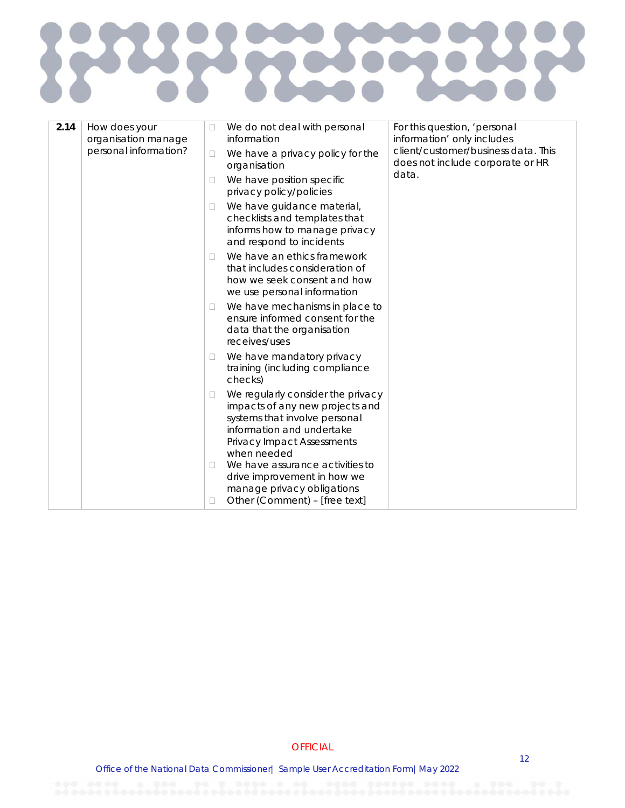#### 2273 R  $\zeta$

| 2.14 | How does your<br>organisation manage |              | We do not deal with personal<br>information                                                                                                                                                                               | For this question, 'personal<br>information' only includes              |
|------|--------------------------------------|--------------|---------------------------------------------------------------------------------------------------------------------------------------------------------------------------------------------------------------------------|-------------------------------------------------------------------------|
|      | personal information?                | □            | We have a privacy policy for the<br>organisation                                                                                                                                                                          | client/customer/business data. This<br>does not include corporate or HR |
|      |                                      | □            | We have position specific<br>privacy policy/policies                                                                                                                                                                      | data.                                                                   |
|      |                                      | □            | We have guidance material,<br>checklists and templates that<br>informs how to manage privacy<br>and respond to incidents                                                                                                  |                                                                         |
|      |                                      | П            | We have an ethics framework<br>that includes consideration of<br>how we seek consent and how<br>we use personal information                                                                                               |                                                                         |
|      |                                      | u            | We have mechanisms in place to<br>ensure informed consent for the<br>data that the organisation<br>receives/uses                                                                                                          |                                                                         |
|      |                                      | $\mathbb{L}$ | We have mandatory privacy<br>training (including compliance<br>checks)                                                                                                                                                    |                                                                         |
|      |                                      | □            | We regularly consider the privacy<br>impacts of any new projects and<br>systems that involve personal<br>information and undertake<br><b>Privacy Impact Assessments</b><br>when needed<br>We have assurance activities to |                                                                         |
|      |                                      |              | drive improvement in how we<br>manage privacy obligations<br>Other (Comment) - [free text]                                                                                                                                |                                                                         |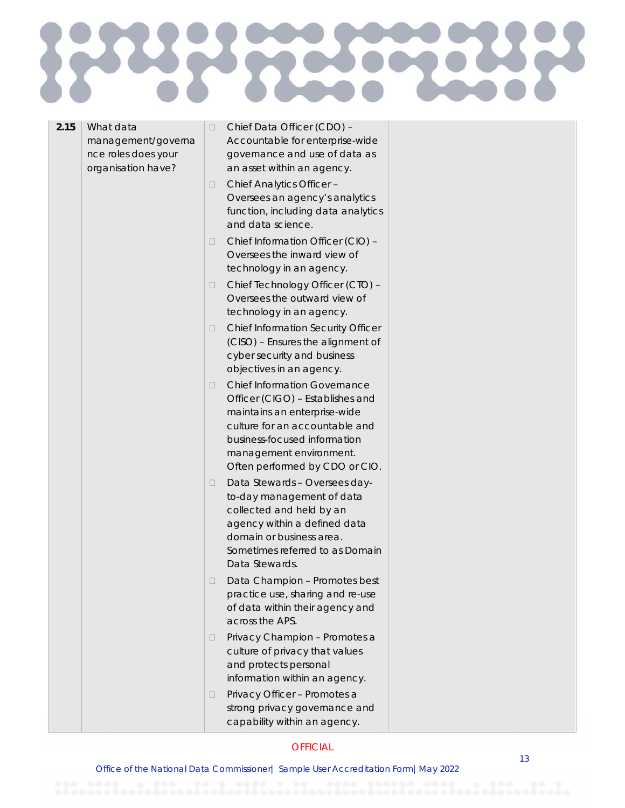## 525 E

| 2.15 | What data                                                       | Chief Data Officer (CDO) -                                                                                                                                                                                                             |  |
|------|-----------------------------------------------------------------|----------------------------------------------------------------------------------------------------------------------------------------------------------------------------------------------------------------------------------------|--|
|      | management/governa<br>nce roles does your<br>organisation have? | Accountable for enterprise-wide<br>governance and use of data as<br>an asset within an agency.                                                                                                                                         |  |
|      |                                                                 | Chief Analytics Officer -<br>Oversees an agency's analytics<br>function, including data analytics<br>and data science.                                                                                                                 |  |
|      |                                                                 | Chief Information Officer (CIO) -<br>Oversees the inward view of<br>technology in an agency.                                                                                                                                           |  |
|      |                                                                 | Chief Technology Officer (CTO) -<br>Oversees the outward view of<br>technology in an agency.                                                                                                                                           |  |
|      |                                                                 | <b>Chief Information Security Officer</b><br>(CISO) - Ensures the alignment of<br>cyber security and business<br>objectives in an agency.                                                                                              |  |
|      |                                                                 | <b>Chief Information Governance</b><br>Officer (CIGO) - Establishes and<br>maintains an enterprise-wide<br>culture for an accountable and<br>business-focused information<br>management environment.<br>Often performed by CDO or CIO. |  |
|      |                                                                 | Data Stewards - Oversees day-<br>to-day management of data<br>collected and held by an<br>agency within a defined data<br>domain or business area.<br>Sometimes referred to as Domain<br>Data Stewards.                                |  |
|      |                                                                 | Data Champion - Promotes best<br>practice use, sharing and re-use<br>of data within their agency and<br>across the APS.                                                                                                                |  |
|      |                                                                 | Privacy Champion - Promotes a<br>culture of privacy that values<br>and protects personal<br>information within an agency.                                                                                                              |  |
|      |                                                                 | Privacy Officer - Promotes a<br>strong privacy governance and<br>capability within an agency.                                                                                                                                          |  |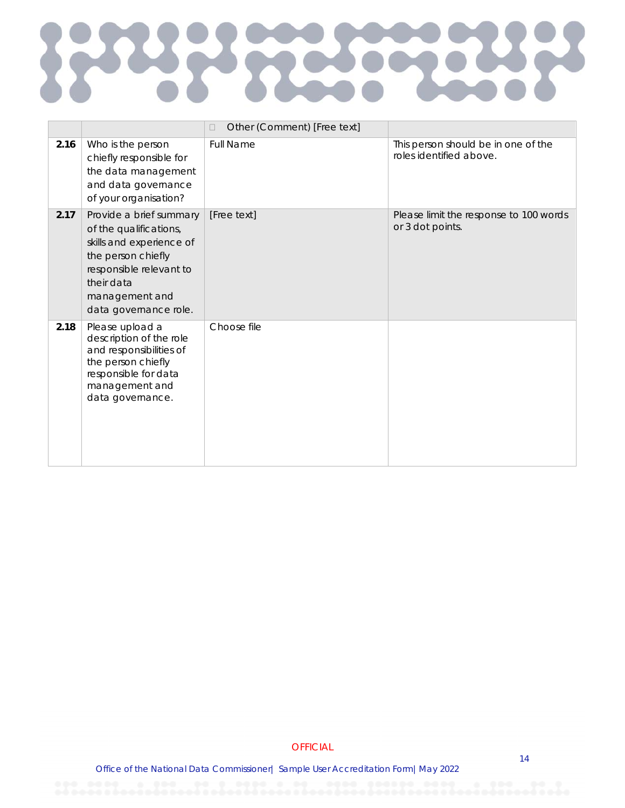## **RANCE PS** R  $\zeta$

|      |                                                                                                                                                                                         | Other (Comment) [Free text]<br>П |                                                                |
|------|-----------------------------------------------------------------------------------------------------------------------------------------------------------------------------------------|----------------------------------|----------------------------------------------------------------|
| 2.16 | Who is the person<br>chiefly responsible for<br>the data management<br>and data governance<br>of your organisation?                                                                     | <b>Full Name</b>                 | This person should be in one of the<br>roles identified above. |
| 2.17 | Provide a brief summary<br>of the qualifications,<br>skills and experience of<br>the person chiefly<br>responsible relevant to<br>their data<br>management and<br>data governance role. | [Free text]                      | Please limit the response to 100 words<br>or 3 dot points.     |
| 2.18 | Please upload a<br>description of the role<br>and responsibilities of<br>the person chiefly<br>responsible for data<br>management and<br>data governance.                               | Choose file                      |                                                                |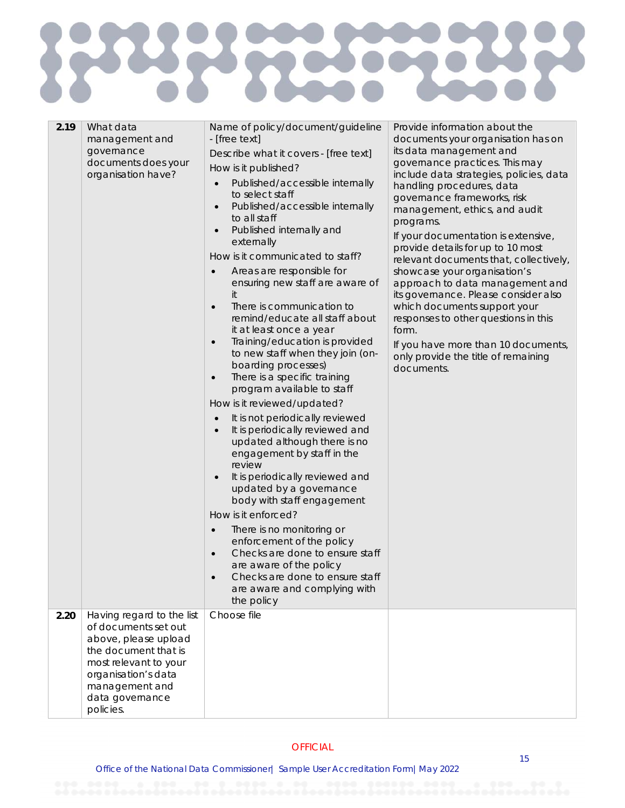## **POLICE PCC**

| 2.19 | What data<br>management and<br>governance<br>documents does your<br>organisation have?                                                                                 | Name of policy/document/guideline<br>- [free text]<br>Describe what it covers - [free text]<br>How is it published?<br>Published/accessible internally<br>to select staff<br>Published/accessible internally<br>$\bullet$<br>to all staff<br>Published internally and<br>externally<br>How is it communicated to staff?<br>Areas are responsible for<br>$\bullet$<br>ensuring new staff are aware of<br>it<br>There is communication to<br>$\bullet$<br>remind/educate all staff about<br>it at least once a year<br>Training/education is provided<br>$\bullet$<br>to new staff when they join (on-<br>boarding processes)<br>There is a specific training<br>$\bullet$<br>program available to staff<br>How is it reviewed/updated?<br>It is not periodically reviewed<br>$\bullet$<br>It is periodically reviewed and<br>$\bullet$<br>updated although there is no<br>engagement by staff in the<br>review<br>It is periodically reviewed and<br>updated by a governance<br>body with staff engagement<br>How is it enforced?<br>There is no monitoring or<br>$\bullet$<br>enforcement of the policy<br>Checks are done to ensure staff<br>are aware of the policy<br>Checks are done to ensure staff<br>are aware and complying with<br>the policy | Provide information about the<br>documents your organisation has on<br>its data management and<br>governance practices. This may<br>include data strategies, policies, data<br>handling procedures, data<br>governance frameworks, risk<br>management, ethics, and audit<br>programs.<br>If your documentation is extensive,<br>provide details for up to 10 most<br>relevant documents that, collectively,<br>showcase your organisation's<br>approach to data management and<br>its governance. Please consider also<br>which documents support your<br>responses to other questions in this<br>form.<br>If you have more than 10 documents,<br>only provide the title of remaining<br>documents. |
|------|------------------------------------------------------------------------------------------------------------------------------------------------------------------------|--------------------------------------------------------------------------------------------------------------------------------------------------------------------------------------------------------------------------------------------------------------------------------------------------------------------------------------------------------------------------------------------------------------------------------------------------------------------------------------------------------------------------------------------------------------------------------------------------------------------------------------------------------------------------------------------------------------------------------------------------------------------------------------------------------------------------------------------------------------------------------------------------------------------------------------------------------------------------------------------------------------------------------------------------------------------------------------------------------------------------------------------------------------------------------------------------------------------------------------------------------|-----------------------------------------------------------------------------------------------------------------------------------------------------------------------------------------------------------------------------------------------------------------------------------------------------------------------------------------------------------------------------------------------------------------------------------------------------------------------------------------------------------------------------------------------------------------------------------------------------------------------------------------------------------------------------------------------------|
| 2.20 | Having regard to the list                                                                                                                                              | Choose file                                                                                                                                                                                                                                                                                                                                                                                                                                                                                                                                                                                                                                                                                                                                                                                                                                                                                                                                                                                                                                                                                                                                                                                                                                            |                                                                                                                                                                                                                                                                                                                                                                                                                                                                                                                                                                                                                                                                                                     |
|      | of documents set out<br>above, please upload<br>the document that is<br>most relevant to your<br>organisation's data<br>management and<br>data governance<br>policies. |                                                                                                                                                                                                                                                                                                                                                                                                                                                                                                                                                                                                                                                                                                                                                                                                                                                                                                                                                                                                                                                                                                                                                                                                                                                        |                                                                                                                                                                                                                                                                                                                                                                                                                                                                                                                                                                                                                                                                                                     |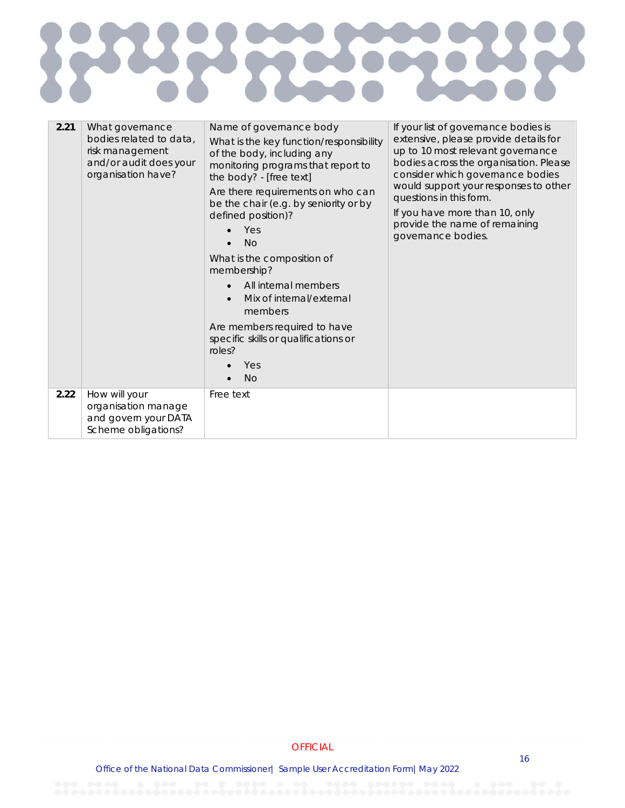#### 2223 **CAST** R  $\zeta$

| 2.21 | What governance<br>bodies related to data,<br>risk management<br>and/or audit does your<br>organisation have? | Name of governance body<br>What is the key function/responsibility<br>of the body, including any<br>monitoring programs that report to<br>the body? - [free text]<br>Are there requirements on who can<br>be the chair (e.g. by seniority or by<br>defined position)?<br>Yes<br>No<br>What is the composition of<br>membership?<br>All internal members<br>$\bullet$<br>Mix of internal/external<br>$\bullet$<br>members<br>Are members required to have<br>specific skills or qualifications or<br>roles?<br>Yes<br><b>No</b> | If your list of governance bodies is<br>extensive, please provide details for<br>up to 10 most relevant governance<br>bodies across the organisation. Please<br>consider which governance bodies<br>would support your responses to other<br>questions in this form.<br>If you have more than 10, only<br>provide the name of remaining<br>governance bodies. |
|------|---------------------------------------------------------------------------------------------------------------|--------------------------------------------------------------------------------------------------------------------------------------------------------------------------------------------------------------------------------------------------------------------------------------------------------------------------------------------------------------------------------------------------------------------------------------------------------------------------------------------------------------------------------|---------------------------------------------------------------------------------------------------------------------------------------------------------------------------------------------------------------------------------------------------------------------------------------------------------------------------------------------------------------|
| 2.22 | How will your<br>organisation manage<br>and govern your DATA<br>Scheme obligations?                           | Free text                                                                                                                                                                                                                                                                                                                                                                                                                                                                                                                      |                                                                                                                                                                                                                                                                                                                                                               |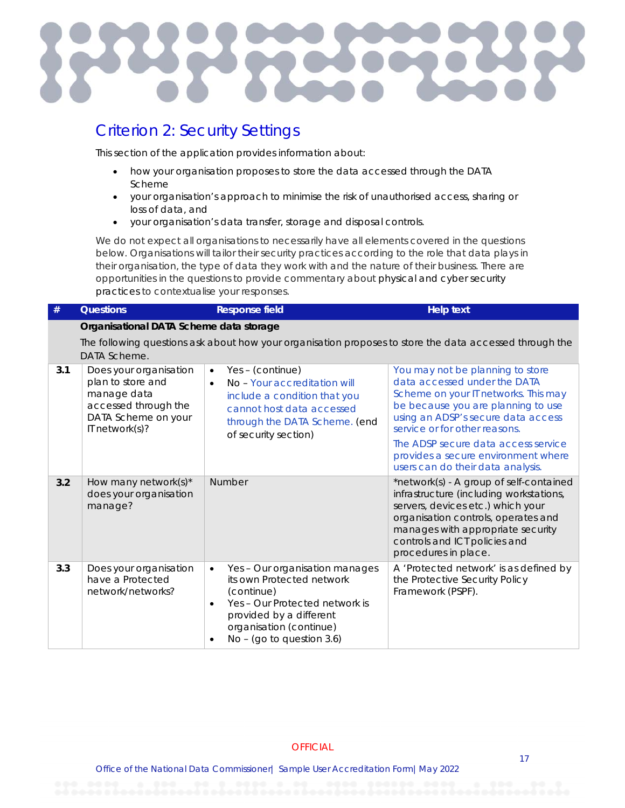

#### Criterion 2: Security Settings

This section of the application provides information about:

- how your organisation proposes to store the data accessed through the DATA Scheme
- your organisation's approach to minimise the risk of unauthorised access, sharing or loss of data, and
- your organisation's data transfer, storage and disposal controls.

We do not expect all organisations to necessarily have all elements covered in the questions below. Organisations will tailor their security practices according to the role that data plays in their organisation, the type of data they work with and the nature of their business. There are opportunities in the questions to provide commentary about physical and cyber security practices to contextualise your responses.

| #   | <b>Questions</b>                                                                                                                | <b>Response field</b>                                                                                                                                                                                                    | <b>Help text</b>                                                                                                                                                                                                                                                                                                                         |
|-----|---------------------------------------------------------------------------------------------------------------------------------|--------------------------------------------------------------------------------------------------------------------------------------------------------------------------------------------------------------------------|------------------------------------------------------------------------------------------------------------------------------------------------------------------------------------------------------------------------------------------------------------------------------------------------------------------------------------------|
|     | Organisational DATA Scheme data storage                                                                                         |                                                                                                                                                                                                                          |                                                                                                                                                                                                                                                                                                                                          |
|     | DATA Scheme.                                                                                                                    |                                                                                                                                                                                                                          | The following questions ask about how your organisation proposes to store the data accessed through the                                                                                                                                                                                                                                  |
| 3.1 | Does your organisation<br>plan to store and<br>manage data<br>accessed through the<br>DATA Scheme on your<br>IT network $(s)$ ? | Yes - (continue)<br>$\bullet$<br>No - Your accreditation will<br>$\bullet$<br>include a condition that you<br>cannot host data accessed<br>through the DATA Scheme. (end<br>of security section)                         | You may not be planning to store<br>data accessed under the DATA<br>Scheme on your IT networks. This may<br>be because you are planning to use<br>using an ADSP's secure data access<br>service or for other reasons.<br>The ADSP secure data access service<br>provides a secure environment where<br>users can do their data analysis. |
| 3.2 | How many network $(s)^*$<br>does your organisation<br>manage?                                                                   | Number                                                                                                                                                                                                                   | *network(s) - A group of self-contained<br>infrastructure (including workstations,<br>servers, devices etc.) which your<br>organisation controls, operates and<br>manages with appropriate security<br>controls and ICT policies and<br>procedures in place.                                                                             |
| 3.3 | Does your organisation<br>have a Protected<br>network/networks?                                                                 | Yes - Our organisation manages<br>$\bullet$<br>its own Protected network<br>(continue)<br>Yes - Our Protected network is<br>$\bullet$<br>provided by a different<br>organisation (continue)<br>No - (go to question 3.6) | A 'Protected network' is as defined by<br>the Protective Security Policy<br>Framework (PSPF).                                                                                                                                                                                                                                            |

#### **OFFICIAL**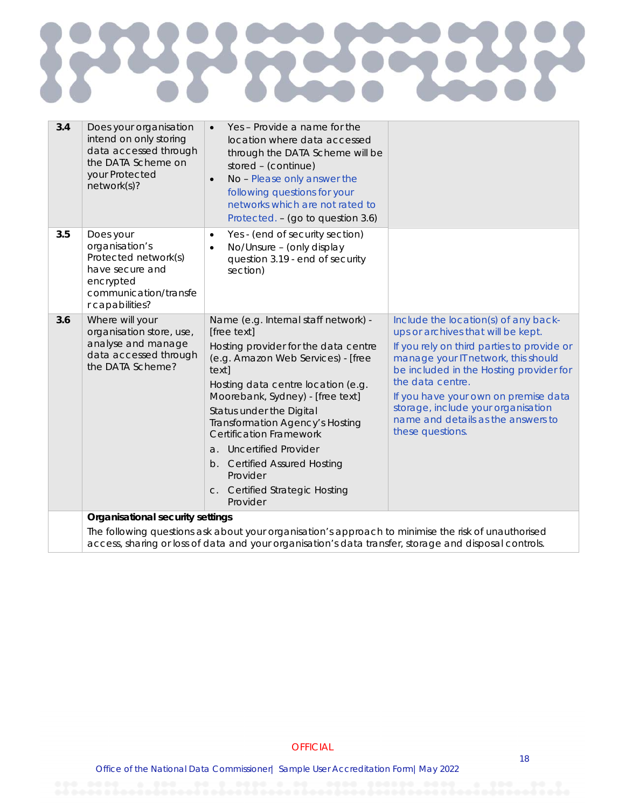## **DATE RE** R  $\zeta$

| 3.4 | Does your organisation<br>intend on only storing<br>data accessed through<br>the DATA Scheme on<br>your Protected<br>network(s)? | Yes - Provide a name for the<br>$\bullet$<br>location where data accessed<br>through the DATA Scheme will be<br>stored - (continue)<br>No - Please only answer the<br>$\bullet$<br>following questions for your<br>networks which are not rated to<br>Protected. - (go to question 3.6)                                                                                                                                                    |                                                                                                                                                                                                                                                                                                                                                                        |
|-----|----------------------------------------------------------------------------------------------------------------------------------|--------------------------------------------------------------------------------------------------------------------------------------------------------------------------------------------------------------------------------------------------------------------------------------------------------------------------------------------------------------------------------------------------------------------------------------------|------------------------------------------------------------------------------------------------------------------------------------------------------------------------------------------------------------------------------------------------------------------------------------------------------------------------------------------------------------------------|
| 3.5 | Does your<br>organisation's<br>Protected network(s)<br>have secure and<br>encrypted<br>communication/transfe<br>r capabilities?  | Yes - (end of security section)<br>$\bullet$<br>No/Unsure - (only display<br>$\bullet$<br>question 3.19 - end of security<br>section)                                                                                                                                                                                                                                                                                                      |                                                                                                                                                                                                                                                                                                                                                                        |
| 3.6 | Where will your<br>organisation store, use,<br>analyse and manage<br>data accessed through<br>the DATA Scheme?                   | Name (e.g. Internal staff network) -<br>[free text]<br>Hosting provider for the data centre<br>(e.g. Amazon Web Services) - [free<br>text]<br>Hosting data centre location (e.g.<br>Moorebank, Sydney) - [free text]<br>Status under the Digital<br>Transformation Agency's Hosting<br><b>Certification Framework</b><br>a. Uncertified Provider<br>b. Certified Assured Hosting<br>Provider<br>c. Certified Strategic Hosting<br>Provider | Include the location(s) of any back-<br>ups or archives that will be kept.<br>If you rely on third parties to provide or<br>manage your IT network, this should<br>be included in the Hosting provider for<br>the data centre.<br>If you have your own on premise data<br>storage, include your organisation<br>name and details as the answers to<br>these questions. |
|     | Organisational security settings                                                                                                 | The following questions ask about your organisation's approach to minimise the risk of unauthorised<br>access, sharing or loss of data and your organisation's data transfer, storage and disposal controls.                                                                                                                                                                                                                               |                                                                                                                                                                                                                                                                                                                                                                        |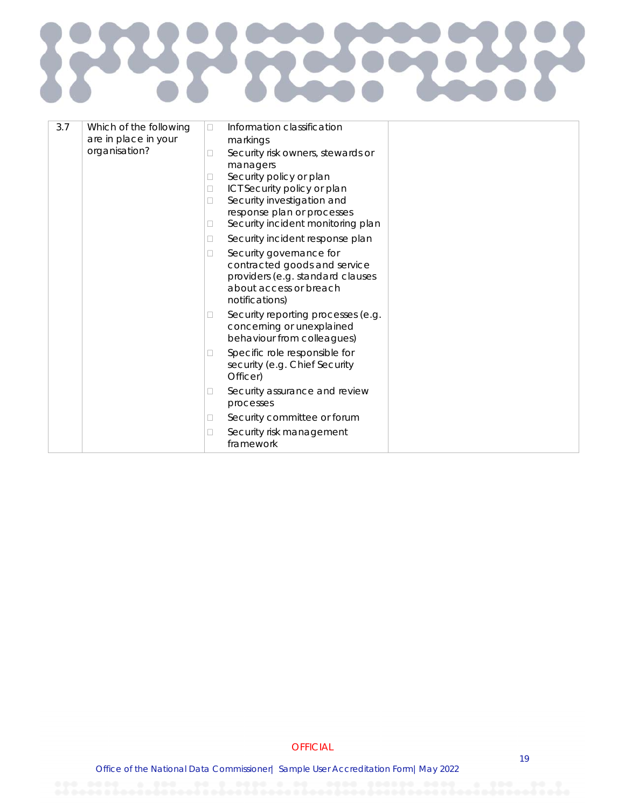## $\boldsymbol{\Sigma}$ IC

| 3.7 | Which of the following | $\Box$ | Information classification                                                                                                              |  |
|-----|------------------------|--------|-----------------------------------------------------------------------------------------------------------------------------------------|--|
|     | are in place in your   |        | markings                                                                                                                                |  |
|     | organisation?          | □      | Security risk owners, stewards or                                                                                                       |  |
|     |                        |        | managers                                                                                                                                |  |
|     |                        | П      | Security policy or plan                                                                                                                 |  |
|     |                        | $\Box$ | ICT Security policy or plan                                                                                                             |  |
|     |                        | □      | Security investigation and                                                                                                              |  |
|     |                        |        | response plan or processes<br>Security incident monitoring plan                                                                         |  |
|     |                        | □      |                                                                                                                                         |  |
|     |                        | □      | Security incident response plan                                                                                                         |  |
|     |                        | □      | Security governance for<br>contracted goods and service<br>providers (e.g. standard clauses<br>about access or breach<br>notifications) |  |
|     |                        | □      | Security reporting processes (e.g.<br>concerning or unexplained<br>behaviour from colleagues)                                           |  |
|     |                        | □      | Specific role responsible for<br>security (e.g. Chief Security<br>Officer)                                                              |  |
|     |                        | □      | Security assurance and review<br>processes                                                                                              |  |
|     |                        | u      | Security committee or forum                                                                                                             |  |
|     |                        | □      | Security risk management<br>framework                                                                                                   |  |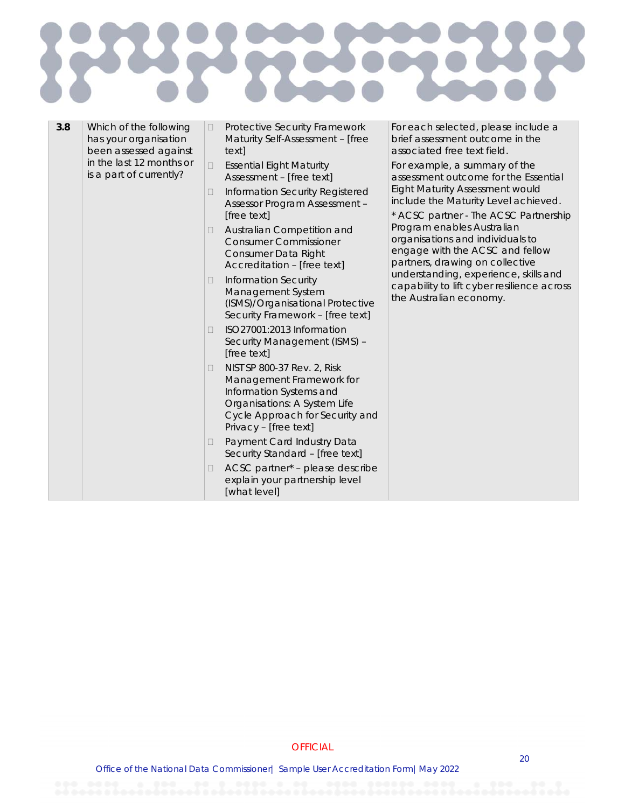# J.

| 3.8 | Which of the following<br>has your organisation<br>been assessed against |        |                                                                                                                          |                                                                                                                                                                                | $\Box$ | Protective Security Framework<br>Maturity Self-Assessment - [free<br>text1 | For each selected, please include a<br>brief assessment outcome in the<br>associated free text field. |
|-----|--------------------------------------------------------------------------|--------|--------------------------------------------------------------------------------------------------------------------------|--------------------------------------------------------------------------------------------------------------------------------------------------------------------------------|--------|----------------------------------------------------------------------------|-------------------------------------------------------------------------------------------------------|
|     | in the last 12 months or<br>is a part of currently?                      | $\Box$ | <b>Essential Eight Maturity</b><br>Assessment - [free text]                                                              | For example, a summary of the<br>assessment outcome for the Essential                                                                                                          |        |                                                                            |                                                                                                       |
|     |                                                                          | □      | Information Security Registered<br><b>Assessor Program Assessment -</b>                                                  | <b>Eight Maturity Assessment would</b><br>include the Maturity Level achieved.                                                                                                 |        |                                                                            |                                                                                                       |
|     |                                                                          |        | [free text]                                                                                                              | * ACSC partner - The ACSC Partnership                                                                                                                                          |        |                                                                            |                                                                                                       |
|     |                                                                          | Ц      | Australian Competition and<br><b>Consumer Commissioner</b><br>Consumer Data Right<br>Accreditation - [free text]         | Program enables Australian<br>organisations and individuals to<br>engage with the ACSC and fellow<br>partners, drawing on collective                                           |        |                                                                            |                                                                                                       |
|     |                                                                          | □      | <b>Information Security</b><br>Management System<br>(ISMS)/Organisational Protective<br>Security Framework - [free text] | understanding, experience, skills and<br>capability to lift cyber resilience across<br>the Australian economy.                                                                 |        |                                                                            |                                                                                                       |
|     |                                                                          | П      | ISO27001:2013 Information<br>Security Management (ISMS) -<br>[free text]                                                 |                                                                                                                                                                                |        |                                                                            |                                                                                                       |
|     |                                                                          | □      |                                                                                                                          | NIST SP 800-37 Rev. 2, Risk<br>Management Framework for<br>Information Systems and<br>Organisations: A System Life<br>Cycle Approach for Security and<br>Privacy - [free text] |        |                                                                            |                                                                                                       |
|     |                                                                          | □      | Payment Card Industry Data<br>Security Standard - [free text]                                                            |                                                                                                                                                                                |        |                                                                            |                                                                                                       |
|     |                                                                          | □      | ACSC partner* - please describe<br>explain your partnership level<br>[what level]                                        |                                                                                                                                                                                |        |                                                                            |                                                                                                       |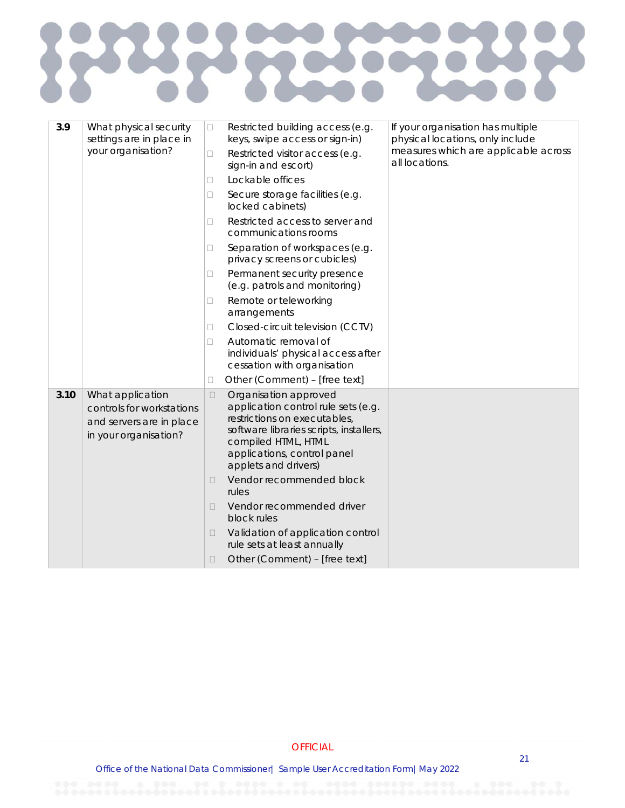

| 3.9  | What physical security<br>settings are in place in<br>your organisation?                           | $\Box$<br>0<br>П<br>$\Box$<br>П<br>п<br>□<br>□<br>П<br>П<br>П | Restricted building access (e.g.<br>keys, swipe access or sign-in)<br>Restricted visitor access (e.g.<br>sign-in and escort)<br>Lockable offices<br>Secure storage facilities (e.g.<br>locked cabinets)<br>Restricted access to server and<br>communications rooms<br>Separation of workspaces (e.g.<br>privacy screens or cubicles)<br>Permanent security presence<br>(e.g. patrols and monitoring)<br>Remote or teleworking<br>arrangements<br>Closed-circuit television (CCTV)<br>Automatic removal of<br>individuals' physical access after<br>cessation with organisation<br>Other (Comment) - [free text] | If your organisation has multiple<br>physical locations, only include<br>measures which are applicable across<br>all locations. |
|------|----------------------------------------------------------------------------------------------------|---------------------------------------------------------------|-----------------------------------------------------------------------------------------------------------------------------------------------------------------------------------------------------------------------------------------------------------------------------------------------------------------------------------------------------------------------------------------------------------------------------------------------------------------------------------------------------------------------------------------------------------------------------------------------------------------|---------------------------------------------------------------------------------------------------------------------------------|
| 3.10 | What application<br>controls for workstations<br>and servers are in place<br>in your organisation? | $\Box$<br>П<br>$\Box$<br>$\Box$<br>$\Box$                     | Organisation approved<br>application control rule sets (e.g.<br>restrictions on executables,<br>software libraries scripts, installers,<br>compiled HTML, HTML<br>applications, control panel<br>applets and drivers)<br>Vendor recommended block<br>rules<br>Vendor recommended driver<br>block rules<br>Validation of application control<br>rule sets at least annually<br>Other (Comment) - [free text]                                                                                                                                                                                                     |                                                                                                                                 |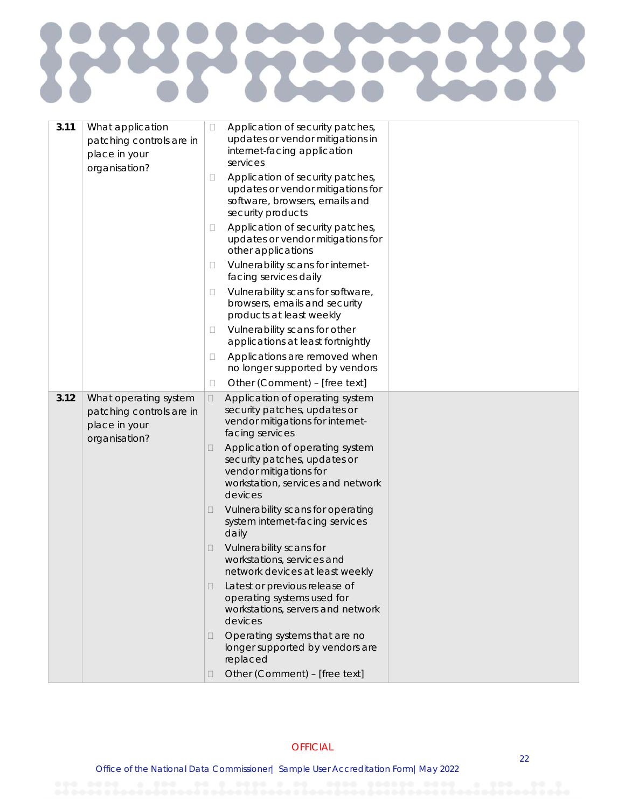| 3.11 | What application<br>patching controls are in<br>place in your<br>organisation?      | $\Box$ | Application of security patches,<br>updates or vendor mitigations in<br>internet-facing application<br>services                           |  |
|------|-------------------------------------------------------------------------------------|--------|-------------------------------------------------------------------------------------------------------------------------------------------|--|
|      |                                                                                     | □      | Application of security patches,<br>updates or vendor mitigations for<br>software, browsers, emails and<br>security products              |  |
|      |                                                                                     | Ш      | Application of security patches,<br>updates or vendor mitigations for<br>other applications                                               |  |
|      |                                                                                     | 0      | Vulnerability scans for internet-<br>facing services daily                                                                                |  |
|      |                                                                                     | Ц      | Vulnerability scans for software,<br>browsers, emails and security<br>products at least weekly                                            |  |
|      |                                                                                     | Ш      | Vulnerability scans for other<br>applications at least fortnightly                                                                        |  |
|      |                                                                                     | □      | Applications are removed when<br>no longer supported by vendors                                                                           |  |
|      |                                                                                     | $\Box$ | Other (Comment) - [free text]                                                                                                             |  |
| 3.12 | What operating system<br>patching controls are in<br>place in your<br>organisation? | $\Box$ | Application of operating system<br>security patches, updates or<br>vendor mitigations for internet-<br>facing services                    |  |
|      |                                                                                     | u      | Application of operating system<br>security patches, updates or<br>vendor mitigations for<br>workstation, services and network<br>devices |  |
|      |                                                                                     | $\Box$ | Vulnerability scans for operating<br>system internet-facing services<br>daily                                                             |  |
|      |                                                                                     | $\Box$ | Vulnerability scans for<br>workstations, services and<br>network devices at least weekly                                                  |  |
|      |                                                                                     | $\Box$ | Latest or previous release of<br>operating systems used for<br>workstations, servers and network<br>devices                               |  |
|      |                                                                                     | □      | Operating systems that are no<br>longer supported by vendors are<br>replaced                                                              |  |
|      |                                                                                     |        | Other (Comment) - [free text]                                                                                                             |  |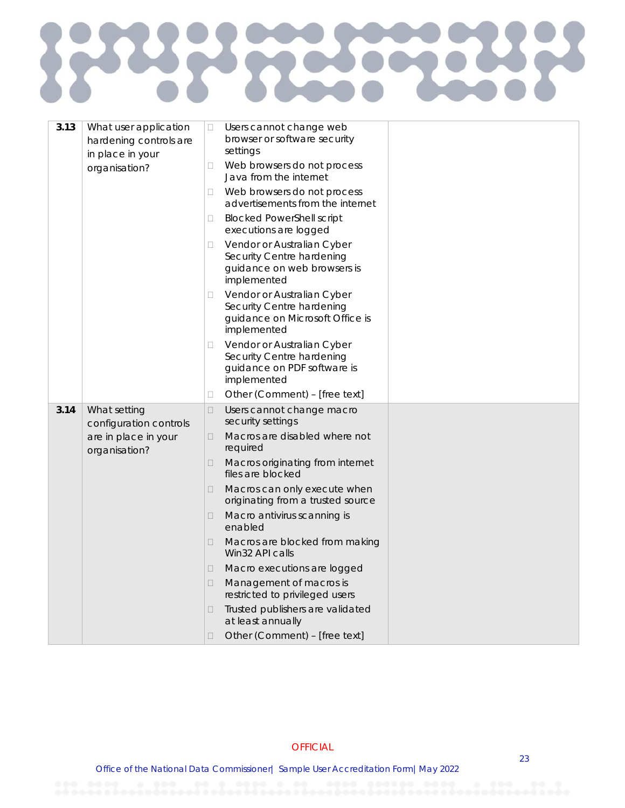| 3.13 | What user application<br>hardening controls are<br>in place in your | $\Box$ | Users cannot change web<br>browser or software security<br>settings                                       |  |
|------|---------------------------------------------------------------------|--------|-----------------------------------------------------------------------------------------------------------|--|
|      | organisation?                                                       | 0      | Web browsers do not process<br>Java from the internet                                                     |  |
|      |                                                                     | 0      | Web browsers do not process<br>advertisements from the internet                                           |  |
|      |                                                                     | 0      | <b>Blocked PowerShell script</b><br>executions are logged                                                 |  |
|      |                                                                     | 0      | Vendor or Australian Cyber<br>Security Centre hardening<br>guidance on web browsers is<br>implemented     |  |
|      |                                                                     | □      | Vendor or Australian Cyber<br>Security Centre hardening<br>guidance on Microsoft Office is<br>implemented |  |
|      |                                                                     | O      | Vendor or Australian Cyber<br>Security Centre hardening<br>guidance on PDF software is<br>implemented     |  |
|      |                                                                     | □      | Other (Comment) - [free text]                                                                             |  |
| 3.14 | What setting<br>configuration controls                              | $\Box$ | Users cannot change macro<br>security settings                                                            |  |
|      | are in place in your<br>organisation?                               | $\Box$ | Macros are disabled where not<br>required                                                                 |  |
|      |                                                                     | $\Box$ | Macros originating from internet<br>files are blocked                                                     |  |
|      |                                                                     | □      | Macros can only execute when<br>originating from a trusted source                                         |  |
|      |                                                                     | $\Box$ | Macro antivirus scanning is<br>enabled                                                                    |  |
|      |                                                                     | 0      | Macros are blocked from making<br>Win32 API calls                                                         |  |
|      |                                                                     | $\Box$ | Macro executions are logged                                                                               |  |
|      |                                                                     | $\Box$ | Management of macros is<br>restricted to privileged users                                                 |  |
|      |                                                                     | $\Box$ | Trusted publishers are validated<br>at least annually                                                     |  |
|      |                                                                     | $\Box$ | Other (Comment) - [free text]                                                                             |  |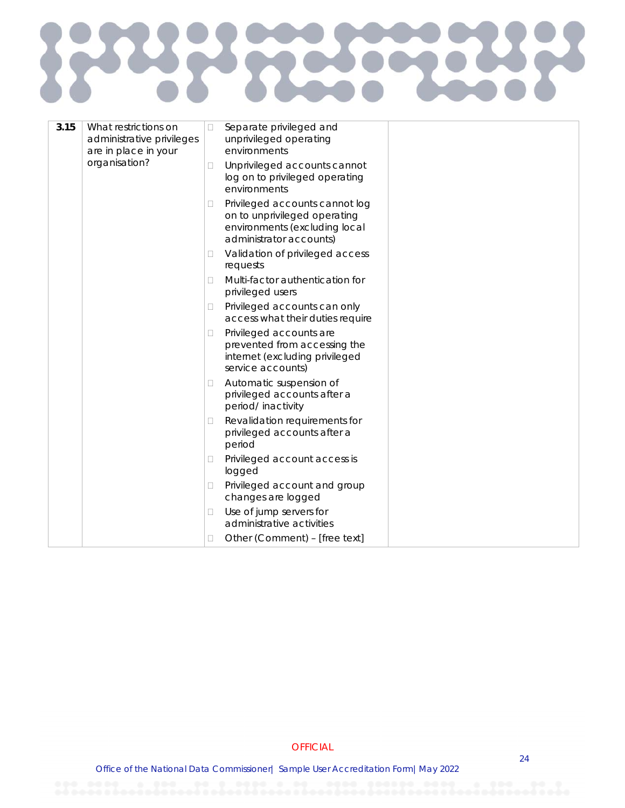## 2223 E  $\zeta$

| 3.15 | What restrictions on<br>administrative privileges<br>are in place in your | $\Box$ | Separate privileged and<br>unprivileged operating<br>environments                                                          |  |
|------|---------------------------------------------------------------------------|--------|----------------------------------------------------------------------------------------------------------------------------|--|
|      | organisation?                                                             | 0      | Unprivileged accounts cannot<br>log on to privileged operating<br>environments                                             |  |
|      |                                                                           | Ш      | Privileged accounts cannot log<br>on to unprivileged operating<br>environments (excluding local<br>administrator accounts) |  |
|      |                                                                           | O      | Validation of privileged access<br>requests                                                                                |  |
|      |                                                                           | П      | Multi-factor authentication for<br>privileged users                                                                        |  |
|      |                                                                           | 0      | Privileged accounts can only<br>access what their duties require                                                           |  |
|      |                                                                           | □      | Privileged accounts are<br>prevented from accessing the<br>internet (excluding privileged<br>service accounts)             |  |
|      |                                                                           | □      | Automatic suspension of<br>privileged accounts after a<br>period/inactivity                                                |  |
|      |                                                                           | O      | Revalidation requirements for<br>privileged accounts after a<br>period                                                     |  |
|      |                                                                           | u      | Privileged account access is<br>logged                                                                                     |  |
|      |                                                                           | п      | Privileged account and group<br>changes are logged                                                                         |  |
|      |                                                                           | □      | Use of jump servers for<br>administrative activities                                                                       |  |
|      |                                                                           | п      | Other (Comment) - [free text]                                                                                              |  |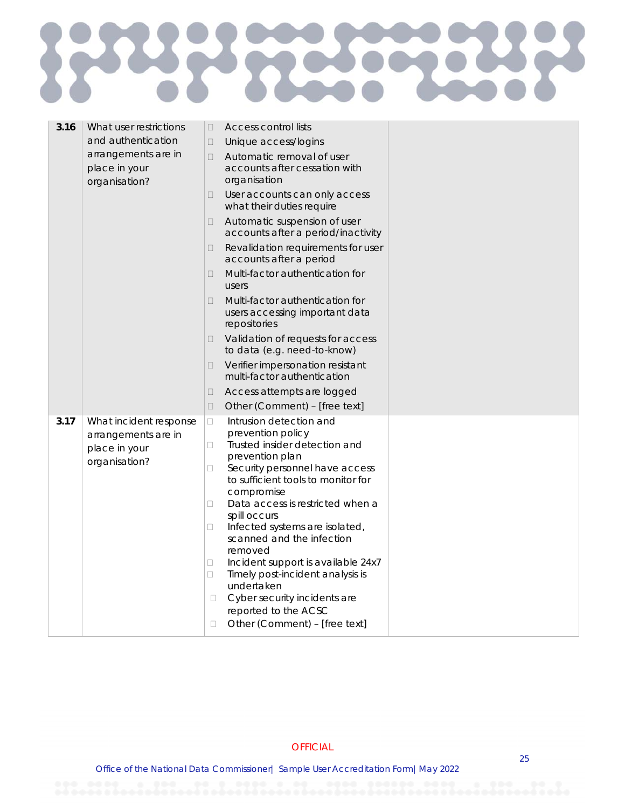## **RANGE** E

| 3.16 | What user restrictions<br>and authentication<br>arrangements are in<br>place in your<br>organisation? | Access control lists<br>$\Box$<br>Unique access/logins<br>$\Box$<br>Automatic removal of user<br>$\Box$<br>accounts after cessation with<br>organisation<br>User accounts can only access<br>$\Box$<br>what their duties require<br>Automatic suspension of user<br>0<br>accounts after a period/inactivity<br>Revalidation requirements for user<br>0<br>accounts after a period<br>Multi-factor authentication for<br>0<br>users<br>Multi-factor authentication for<br>$\Box$<br>users accessing important data<br>repositories<br>Validation of requests for access<br>0<br>to data (e.g. need-to-know)<br>Verifier impersonation resistant<br>0<br>multi-factor authentication<br>Access attempts are logged<br>0<br>Other (Comment) - [free text]<br>$\Box$ |  |
|------|-------------------------------------------------------------------------------------------------------|------------------------------------------------------------------------------------------------------------------------------------------------------------------------------------------------------------------------------------------------------------------------------------------------------------------------------------------------------------------------------------------------------------------------------------------------------------------------------------------------------------------------------------------------------------------------------------------------------------------------------------------------------------------------------------------------------------------------------------------------------------------|--|
| 3.17 | What incident response<br>arrangements are in<br>place in your<br>organisation?                       | Intrusion detection and<br>0<br>prevention policy<br>Trusted insider detection and<br>0<br>prevention plan<br>Security personnel have access<br>$\Box$<br>to sufficient tools to monitor for<br>compromise<br>Data access is restricted when a<br>□<br>spill occurs<br>Infected systems are isolated,<br>□<br>scanned and the infection<br>removed<br>Incident support is available 24x7<br>Ω<br>Timely post-incident analysis is<br>□<br>undertaken<br>Cyber security incidents are<br>$\Box$<br>reported to the ACSC<br>Other (Comment) - [free text]<br>□                                                                                                                                                                                                     |  |

**OFFICIAL**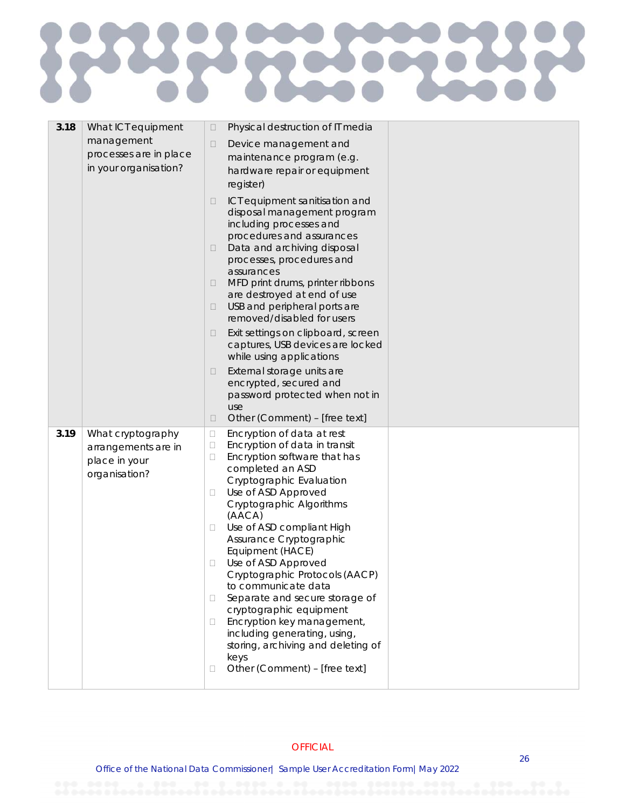| 3.18 | What ICT equipment<br>management<br>processes are in place<br>in your organisation? | Physical destruction of IT media<br>$\Box$<br>Device management and<br>$\Box$<br>maintenance program (e.g.<br>hardware repair or equipment<br>register)<br>ICT equipment sanitisation and<br>□<br>disposal management program<br>including processes and<br>procedures and assurances<br>Data and archiving disposal<br>□<br>processes, procedures and<br>assurances<br>MFD print drums, printer ribbons<br>□<br>are destroyed at end of use<br>USB and peripheral ports are<br>□<br>removed/disabled for users<br>Exit settings on clipboard, screen<br>□<br>captures, USB devices are locked<br>while using applications<br>External storage units are<br>$\Box$<br>encrypted, secured and<br>password protected when not in<br>use<br>Other (Comment) - [free text]<br>$\Box$ |  |
|------|-------------------------------------------------------------------------------------|----------------------------------------------------------------------------------------------------------------------------------------------------------------------------------------------------------------------------------------------------------------------------------------------------------------------------------------------------------------------------------------------------------------------------------------------------------------------------------------------------------------------------------------------------------------------------------------------------------------------------------------------------------------------------------------------------------------------------------------------------------------------------------|--|
| 3.19 | What cryptography<br>arrangements are in<br>place in your<br>organisation?          | Encryption of data at rest<br>$\Box$<br>Encryption of data in transit<br>$\Box$<br>Encryption software that has<br>$\Box$<br>completed an ASD<br>Cryptographic Evaluation<br>Use of ASD Approved<br>$\Box$<br>Cryptographic Algorithms<br>(AACA)<br>Use of ASD compliant High<br>$\Box$<br>Assurance Cryptographic<br>Equipment (HACE)<br>Use of ASD Approved<br>Cryptographic Protocols (AACP)<br>to communicate data<br>Separate and secure storage of<br>$\Box$<br>cryptographic equipment<br>Encryption key management,<br>Ш<br>including generating, using,<br>storing, archiving and deleting of<br>keys<br>Other (Comment) - [free text]<br>□                                                                                                                             |  |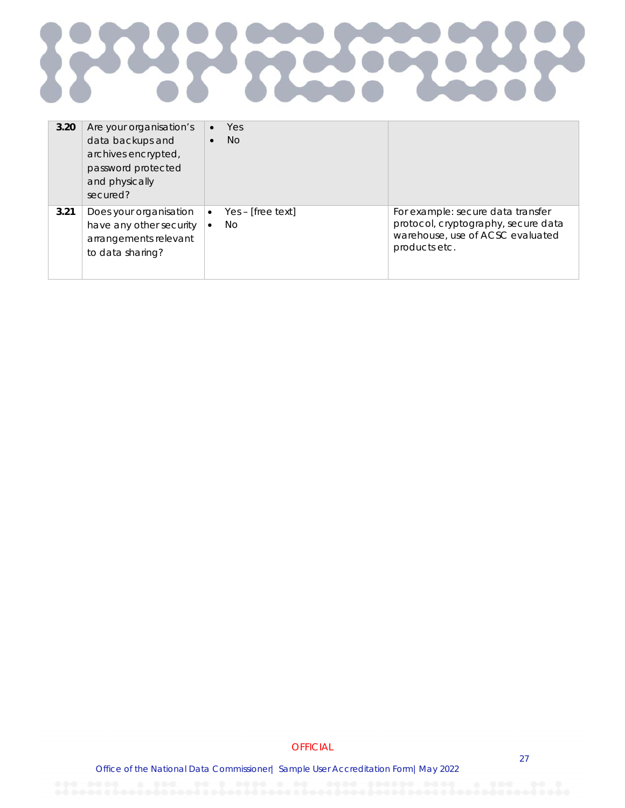

| 3.20 | Are your organisation's<br>data backups and<br>archives encrypted,<br>password protected<br>and physically<br>secured? | Yes<br>$\bullet$<br>No.<br>$\bullet$ |                                     |
|------|------------------------------------------------------------------------------------------------------------------------|--------------------------------------|-------------------------------------|
| 3.21 | Does your organisation                                                                                                 | Yes – [free text]                    | For example: secure data transfer   |
|      | have any other security                                                                                                | $\bullet$                            | protocol, cryptography, secure data |
|      | arrangements relevant                                                                                                  | <b>No</b>                            | warehouse, use of ACSC evaluated    |
|      | to data sharing?                                                                                                       | $\bullet$                            | products etc.                       |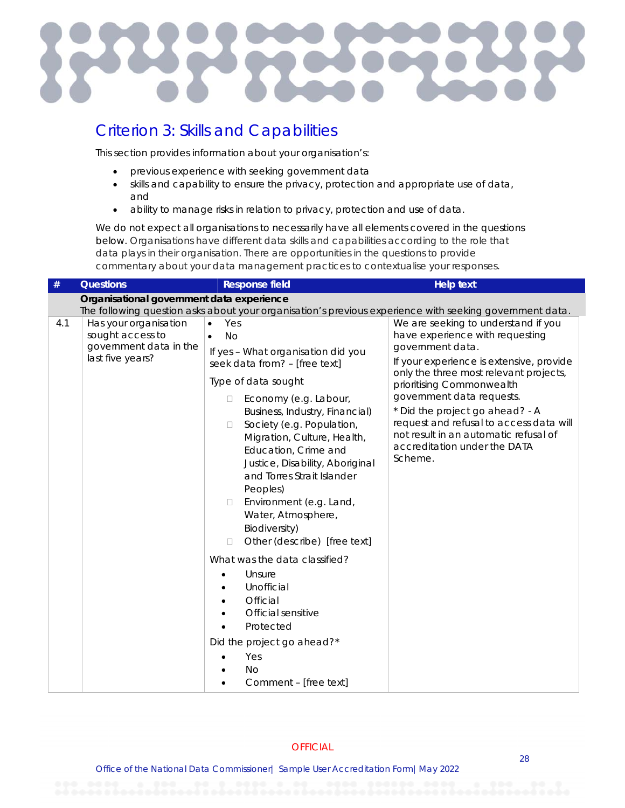#### Criterion 3: Skills and Capabilities

This section provides information about your organisation's:

- previous experience with seeking government data
- skills and capability to ensure the privacy, protection and appropriate use of data, and
- ability to manage risks in relation to privacy, protection and use of data.

We do not expect all organisations to necessarily have all elements covered in the questions below. Organisations have different data skills and capabilities according to the role that data plays in their organisation. There are opportunities in the questions to provide commentary about your data management practices to contextualise your responses.

| $\#$ | <b>Questions</b>                                                                        | <b>Response field</b>                                                                                                                                                                                                                                                                                                                                                                                                                                                                                                                                                                                                                                                                        | <b>Help text</b>                                                                                                                                                                                                                                                                                                                                                                                             |
|------|-----------------------------------------------------------------------------------------|----------------------------------------------------------------------------------------------------------------------------------------------------------------------------------------------------------------------------------------------------------------------------------------------------------------------------------------------------------------------------------------------------------------------------------------------------------------------------------------------------------------------------------------------------------------------------------------------------------------------------------------------------------------------------------------------|--------------------------------------------------------------------------------------------------------------------------------------------------------------------------------------------------------------------------------------------------------------------------------------------------------------------------------------------------------------------------------------------------------------|
|      | Organisational government data experience                                               |                                                                                                                                                                                                                                                                                                                                                                                                                                                                                                                                                                                                                                                                                              |                                                                                                                                                                                                                                                                                                                                                                                                              |
|      |                                                                                         |                                                                                                                                                                                                                                                                                                                                                                                                                                                                                                                                                                                                                                                                                              | The following question asks about your organisation's previous experience with seeking government data.                                                                                                                                                                                                                                                                                                      |
| 4.1  | Has your organisation<br>sought access to<br>government data in the<br>last five years? | Yes<br>$\bullet$<br><b>No</b><br>$\bullet$<br>If yes - What organisation did you<br>seek data from? - [free text]<br>Type of data sought<br>Economy (e.g. Labour,<br>$\Box$<br>Business, Industry, Financial)<br>Society (e.g. Population,<br>$\Box$<br>Migration, Culture, Health,<br>Education, Crime and<br>Justice, Disability, Aboriginal<br>and Torres Strait Islander<br>Peoples)<br>Environment (e.g. Land,<br>$\Box$<br>Water, Atmosphere,<br>Biodiversity)<br>Other (describe) [free text]<br>П<br>What was the data classified?<br>Unsure<br>Unofficial<br>Official<br>Official sensitive<br>Protected<br>Did the project go ahead?*<br>Yes<br><b>No</b><br>Comment - [free text] | We are seeking to understand if you<br>have experience with requesting<br>government data.<br>If your experience is extensive, provide<br>only the three most relevant projects,<br>prioritising Commonwealth<br>government data requests.<br>* Did the project go ahead? - A<br>request and refusal to access data will<br>not result in an automatic refusal of<br>accreditation under the DATA<br>Scheme. |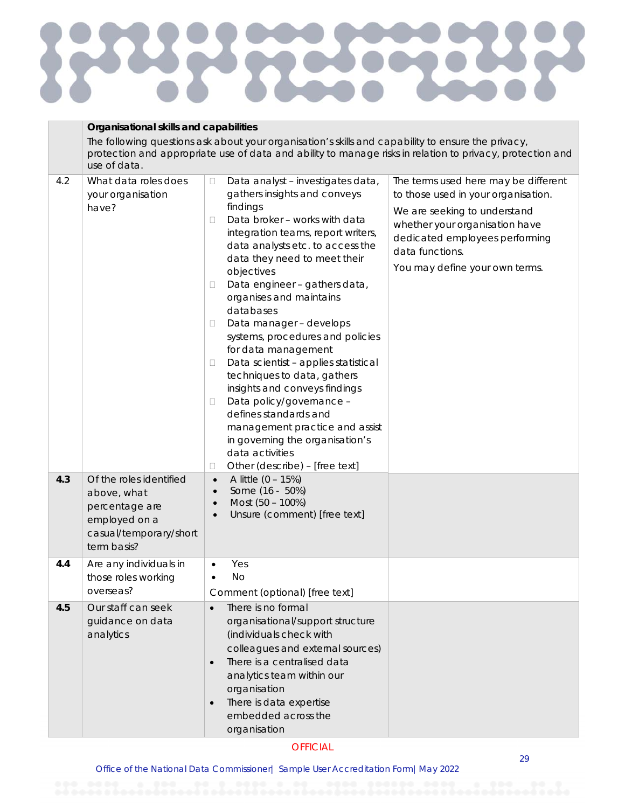## 525 E E

|            | Organisational skills and capabilities                                                                                                                                                                                          |                                                                                                                                                                                                                                                                                                                                                                                                                                                                                                                                                                                                                                                                                                                                                                                                                                                                                                   |                                                                                                                                                                                                                                      |  |  |
|------------|---------------------------------------------------------------------------------------------------------------------------------------------------------------------------------------------------------------------------------|---------------------------------------------------------------------------------------------------------------------------------------------------------------------------------------------------------------------------------------------------------------------------------------------------------------------------------------------------------------------------------------------------------------------------------------------------------------------------------------------------------------------------------------------------------------------------------------------------------------------------------------------------------------------------------------------------------------------------------------------------------------------------------------------------------------------------------------------------------------------------------------------------|--------------------------------------------------------------------------------------------------------------------------------------------------------------------------------------------------------------------------------------|--|--|
|            | The following questions ask about your organisation's skills and capability to ensure the privacy,<br>protection and appropriate use of data and ability to manage risks in relation to privacy, protection and<br>use of data. |                                                                                                                                                                                                                                                                                                                                                                                                                                                                                                                                                                                                                                                                                                                                                                                                                                                                                                   |                                                                                                                                                                                                                                      |  |  |
| 4.2<br>4.3 | What data roles does<br>your organisation<br>have?<br>Of the roles identified<br>above, what<br>percentage are<br>employed on a                                                                                                 | Data analyst - investigates data,<br>$\Box$<br>gathers insights and conveys<br>findings<br>Data broker - works with data<br>□<br>integration teams, report writers,<br>data analysts etc. to access the<br>data they need to meet their<br>objectives<br>Data engineer - gathers data,<br>Ц<br>organises and maintains<br>databases<br>Data manager - develops<br>□<br>systems, procedures and policies<br>for data management<br>Data scientist - applies statistical<br>$\Box$<br>techniques to data, gathers<br>insights and conveys findings<br>Data policy/governance -<br>$\Box$<br>defines standards and<br>management practice and assist<br>in governing the organisation's<br>data activities<br>Other (describe) - [free text]<br>□<br>A little $(0 - 15%)$<br>$\bullet$<br>Some (16 - 50%)<br>$\bullet$<br>Most (50 - 100%)<br>$\bullet$<br>Unsure (comment) [free text]<br>$\bullet$ | The terms used here may be different<br>to those used in your organisation.<br>We are seeking to understand<br>whether your organisation have<br>dedicated employees performing<br>data functions.<br>You may define your own terms. |  |  |
|            | casual/temporary/short<br>term basis?                                                                                                                                                                                           |                                                                                                                                                                                                                                                                                                                                                                                                                                                                                                                                                                                                                                                                                                                                                                                                                                                                                                   |                                                                                                                                                                                                                                      |  |  |
| 4.4        | Are any individuals in<br>those roles working<br>overseas?                                                                                                                                                                      | Yes<br><b>No</b><br>Comment (optional) [free text]                                                                                                                                                                                                                                                                                                                                                                                                                                                                                                                                                                                                                                                                                                                                                                                                                                                |                                                                                                                                                                                                                                      |  |  |
| 4.5        | Our staff can seek<br>guidance on data<br>analytics                                                                                                                                                                             | There is no formal<br>$\bullet$<br>organisational/support structure<br>(individuals check with<br>colleagues and external sources)<br>There is a centralised data<br>$\bullet$<br>analytics team within our<br>organisation<br>There is data expertise<br>$\bullet$<br>embedded across the<br>organisation                                                                                                                                                                                                                                                                                                                                                                                                                                                                                                                                                                                        |                                                                                                                                                                                                                                      |  |  |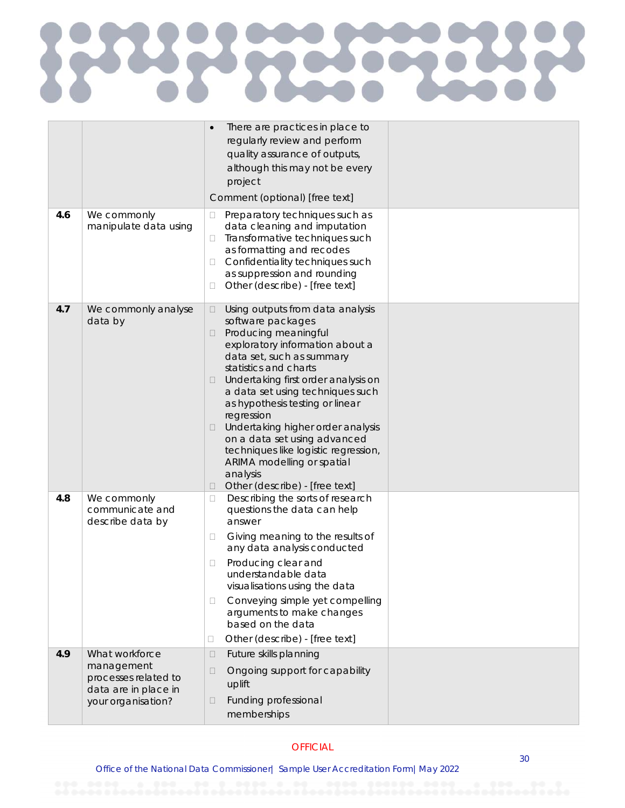|     |                                                                                                    | There are practices in place to<br>regularly review and perform<br>quality assurance of outputs,                                                                                                                                                                                                                                                                                                                                                                                                                                         |  |
|-----|----------------------------------------------------------------------------------------------------|------------------------------------------------------------------------------------------------------------------------------------------------------------------------------------------------------------------------------------------------------------------------------------------------------------------------------------------------------------------------------------------------------------------------------------------------------------------------------------------------------------------------------------------|--|
|     |                                                                                                    | although this may not be every<br>project                                                                                                                                                                                                                                                                                                                                                                                                                                                                                                |  |
|     |                                                                                                    | Comment (optional) [free text]                                                                                                                                                                                                                                                                                                                                                                                                                                                                                                           |  |
| 4.6 | We commonly<br>manipulate data using                                                               | Preparatory techniques such as<br>□<br>data cleaning and imputation<br>Transformative techniques such<br>□<br>as formatting and recodes<br>Confidentiality techniques such<br>□<br>as suppression and rounding<br>Other (describe) - [free text]<br>$\Box$                                                                                                                                                                                                                                                                               |  |
| 4.7 | We commonly analyse<br>data by                                                                     | Using outputs from data analysis<br>$\Box$<br>software packages<br>Producing meaningful<br>□<br>exploratory information about a<br>data set, such as summary<br>statistics and charts<br>Undertaking first order analysis on<br>$\Box$<br>a data set using techniques such<br>as hypothesis testing or linear<br>regression<br>Undertaking higher order analysis<br>$\Box$<br>on a data set using advanced<br>techniques like logistic regression,<br>ARIMA modelling or spatial<br>analysis<br>Other (describe) - [free text]<br>$\Box$ |  |
| 4.8 | We commonly<br>communicate and<br>describe data by                                                 | Describing the sorts of research<br>□<br>questions the data can help<br>answer<br>Giving meaning to the results of<br>$\Box$<br>any data analysis conducted<br>Producing clear and<br>□<br>understandable data<br>visualisations using the data<br>Conveying simple yet compelling<br>$\Box$<br>arguments to make changes<br>based on the data<br>Other (describe) - [free text]<br>□                                                                                                                                                    |  |
| 4.9 | What workforce<br>management<br>processes related to<br>data are in place in<br>your organisation? | Future skills planning<br>$\Box$<br>Ongoing support for capability<br>$\Box$<br>uplift<br>Funding professional<br>$\Box$<br>memberships                                                                                                                                                                                                                                                                                                                                                                                                  |  |
|     |                                                                                                    |                                                                                                                                                                                                                                                                                                                                                                                                                                                                                                                                          |  |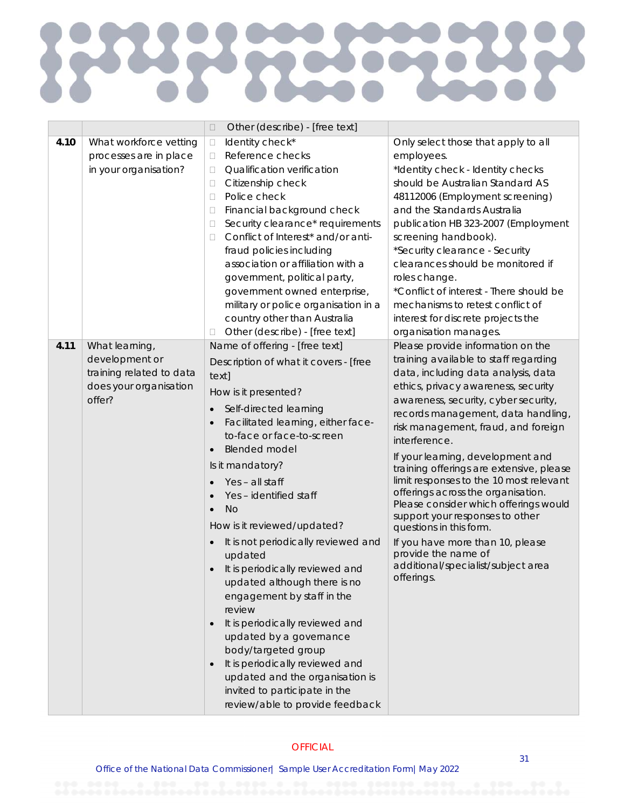# C L

|      |                                  | Other (describe) - [free text]<br>$\Box$ |                                                                               |
|------|----------------------------------|------------------------------------------|-------------------------------------------------------------------------------|
| 4.10 | What workforce vetting           | Identity check*<br>$\Box$                | Only select those that apply to all                                           |
|      | processes are in place           | Reference checks<br>$\Box$               | employees.                                                                    |
|      | in your organisation?            | Qualification verification<br>П          | *Identity check - Identity checks                                             |
|      |                                  | Citizenship check<br>$\Box$              | should be Australian Standard AS                                              |
|      |                                  | Police check<br>□                        | 48112006 (Employment screening)                                               |
|      |                                  | Financial background check<br>□          | and the Standards Australia                                                   |
|      |                                  | Security clearance* requirements<br>□    | publication HB 323-2007 (Employment                                           |
|      |                                  | Conflict of Interest* and/or anti-<br>□  | screening handbook).                                                          |
|      |                                  | fraud policies including                 | *Security clearance - Security                                                |
|      |                                  | association or affiliation with a        | clearances should be monitored if                                             |
|      |                                  | government, political party,             | roles change.                                                                 |
|      |                                  | government owned enterprise,             | *Conflict of interest - There should be                                       |
|      |                                  | military or police organisation in a     | mechanisms to retest conflict of                                              |
|      |                                  | country other than Australia             | interest for discrete projects the                                            |
|      |                                  | Other (describe) - [free text]<br>□      | organisation manages.                                                         |
| 4.11 | What learning,                   | Name of offering - [free text]           | Please provide information on the                                             |
|      | development or                   | Description of what it covers - [free    | training available to staff regarding                                         |
|      | training related to data         | text]                                    | data, including data analysis, data                                           |
|      | does your organisation<br>offer? | How is it presented?                     | ethics, privacy awareness, security                                           |
|      |                                  | Self-directed learning<br>$\bullet$      | awareness, security, cyber security,<br>records management, data handling,    |
|      |                                  | Facilitated learning, either face-       | risk management, fraud, and foreign                                           |
|      |                                  | to-face or face-to-screen                | interference.                                                                 |
|      |                                  | <b>Blended model</b>                     |                                                                               |
|      |                                  | Is it mandatory?                         | If your learning, development and<br>training offerings are extensive, please |
|      |                                  | Yes - all staff                          | limit responses to the 10 most relevant                                       |
|      |                                  | Yes - identified staff                   | offerings across the organisation.                                            |
|      |                                  | <b>No</b>                                | Please consider which offerings would                                         |
|      |                                  | How is it reviewed/updated?              | support your responses to other<br>questions in this form.                    |
|      |                                  | It is not periodically reviewed and      | If you have more than 10, please                                              |
|      |                                  | updated                                  | provide the name of                                                           |
|      |                                  | It is periodically reviewed and          | additional/specialist/subject area                                            |
|      |                                  | updated although there is no             | offerings.                                                                    |
|      |                                  | engagement by staff in the               |                                                                               |
|      |                                  | review                                   |                                                                               |
|      |                                  | It is periodically reviewed and          |                                                                               |
|      |                                  | updated by a governance                  |                                                                               |
|      |                                  | body/targeted group                      |                                                                               |
|      |                                  | It is periodically reviewed and          |                                                                               |
|      |                                  | updated and the organisation is          |                                                                               |
|      |                                  | invited to participate in the            |                                                                               |
|      |                                  | review/able to provide feedback          |                                                                               |
|      |                                  |                                          |                                                                               |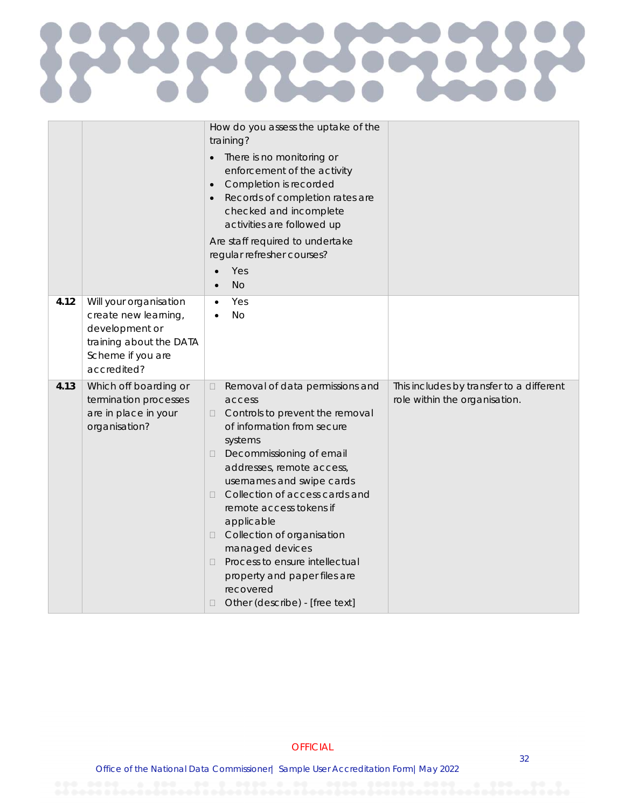## **RAPS** E  $\zeta$

|      |                                                                                                                                 | How do you assess the uptake of the<br>training?<br>There is no monitoring or<br>$\bullet$<br>enforcement of the activity<br>Completion is recorded<br>$\bullet$<br>Records of completion rates are<br>checked and incomplete<br>activities are followed up<br>Are staff required to undertake<br>regular refresher courses?<br>Yes<br><b>No</b>                                                                                                                                                                          |                                                                           |
|------|---------------------------------------------------------------------------------------------------------------------------------|---------------------------------------------------------------------------------------------------------------------------------------------------------------------------------------------------------------------------------------------------------------------------------------------------------------------------------------------------------------------------------------------------------------------------------------------------------------------------------------------------------------------------|---------------------------------------------------------------------------|
| 4.12 | Will your organisation<br>create new learning,<br>development or<br>training about the DATA<br>Scheme if you are<br>accredited? | Yes<br>$\bullet$<br><b>No</b>                                                                                                                                                                                                                                                                                                                                                                                                                                                                                             |                                                                           |
| 4.13 | Which off boarding or<br>termination processes<br>are in place in your<br>organisation?                                         | Removal of data permissions and<br>$\Box$<br>access<br>Controls to prevent the removal<br>$\Box$<br>of information from secure<br>systems<br>Decommissioning of email<br>$\Box$<br>addresses, remote access,<br>usernames and swipe cards<br>Collection of access cards and<br>П<br>remote access tokens if<br>applicable<br>Collection of organisation<br>$\Box$<br>managed devices<br>Process to ensure intellectual<br>$\Box$<br>property and paper files are<br>recovered<br>Other (describe) - [free text]<br>$\Box$ | This includes by transfer to a different<br>role within the organisation. |

#### **OFFICIAL**